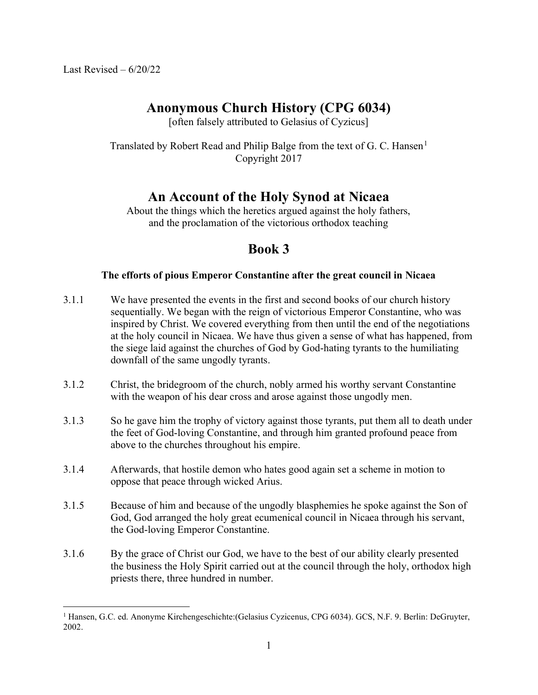## Anonymous Church History (CPG 6034)

[often falsely attributed to Gelasius of Cyzicus]

Translated by Robert Read and Philip Balge from the text of G. C. Hansen<sup>1</sup> Copyright 2017

## An Account of the Holy Synod at Nicaea

About the things which the heretics argued against the holy fathers, and the proclamation of the victorious orthodox teaching

## Book 3

## The efforts of pious Emperor Constantine after the great council in Nicaea

- 3.1.1 We have presented the events in the first and second books of our church history sequentially. We began with the reign of victorious Emperor Constantine, who was inspired by Christ. We covered everything from then until the end of the negotiations at the holy council in Nicaea. We have thus given a sense of what has happened, from the siege laid against the churches of God by God-hating tyrants to the humiliating downfall of the same ungodly tyrants.
- 3.1.2 Christ, the bridegroom of the church, nobly armed his worthy servant Constantine with the weapon of his dear cross and arose against those ungodly men.
- 3.1.3 So he gave him the trophy of victory against those tyrants, put them all to death under the feet of God-loving Constantine, and through him granted profound peace from above to the churches throughout his empire.
- 3.1.4 Afterwards, that hostile demon who hates good again set a scheme in motion to oppose that peace through wicked Arius.
- 3.1.5 Because of him and because of the ungodly blasphemies he spoke against the Son of God, God arranged the holy great ecumenical council in Nicaea through his servant, the God-loving Emperor Constantine.
- 3.1.6 By the grace of Christ our God, we have to the best of our ability clearly presented the business the Holy Spirit carried out at the council through the holy, orthodox high priests there, three hundred in number.

<sup>&</sup>lt;sup>1</sup> Hansen, G.C. ed. Anonyme Kirchengeschichte: (Gelasius Cyzicenus, CPG 6034). GCS, N.F. 9. Berlin: DeGruyter, 2002.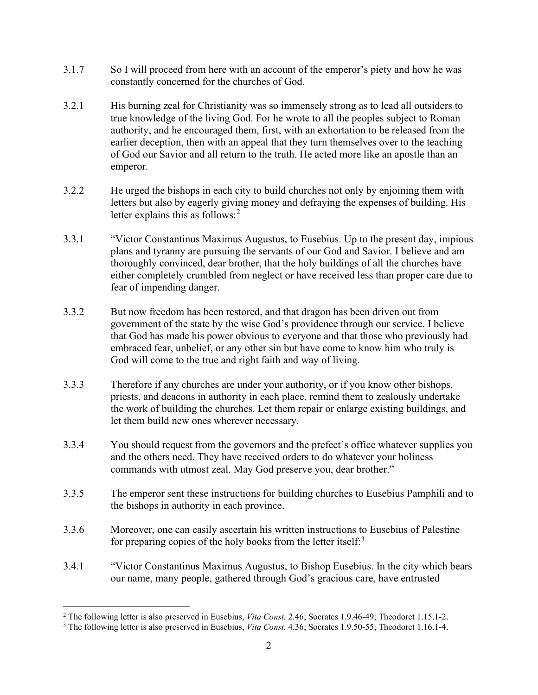- 3.1.7 So I will proceed from here with an account of the emperor's piety and how he was constantly concerned for the churches of God.
- 3.2.1 His burning zeal for Christianity was so immensely strong as to lead all outsiders to true knowledge of the living God. For he wrote to all the peoples subject to Roman authority, and he encouraged them, first, with an exhortation to be released from the earlier deception, then with an appeal that they turn themselves over to the teaching of God our Savior and all return to the truth. He acted more like an apostle than an emperor.
- 3.2.2 He urged the bishops in each city to build churches not only by enjoining them with letters but also by eagerly giving money and defraying the expenses of building. His letter explains this as follows:<sup>2</sup>
- 3.3.1 "Victor Constantinus Maximus Augustus, to Eusebius. Up to the present day, impious plans and tyranny are pursuing the servants of our God and Savior. I believe and am thoroughly convinced, dear brother, that the holy buildings of all the churches have either completely crumbled from neglect or have received less than proper care due to fear of impending danger.
- 3.3.2 But now freedom has been restored, and that dragon has been driven out from government of the state by the wise God's providence through our service. I believe that God has made his power obvious to everyone and that those who previously had embraced fear, unbelief, or any other sin but have come to know him who truly is God will come to the true and right faith and way of living.
- 3.3.3 Therefore if any churches are under your authority, or if you know other bishops, priests, and deacons in authority in each place, remind them to zealously undertake the work of building the churches. Let them repair or enlarge existing buildings, and let them build new ones wherever necessary.
- 3.3.4 You should request from the governors and the prefect's office whatever supplies you and the others need. They have received orders to do whatever your holiness commands with utmost zeal. May God preserve you, dear brother."
- 3.3.5 The emperor sent these instructions for building churches to Eusebius Pamphili and to the bishops in authority in each province.
- 3.3.6 Moreover, one can easily ascertain his written instructions to Eusebius of Palestine for preparing copies of the holy books from the letter itself: $3$
- 3.4.1 "Victor Constantinus Maximus Augustus, to Bishop Eusebius. In the city which bears our name, many people, gathered through God's gracious care, have entrusted

<sup>&</sup>lt;sup>2</sup> The following letter is also preserved in Eusebius, *Vita Const.* 2.46; Socrates 1.9.46-49; Theodoret 1.15.1-2.

<sup>&</sup>lt;sup>3</sup> The following letter is also preserved in Eusebius, Vita Const. 4.36; Socrates 1.9.50-55; Theodoret 1.16.1-4.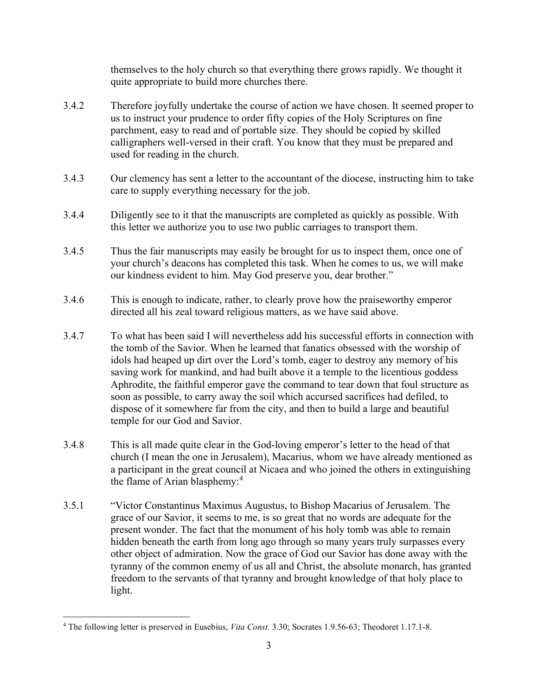themselves to the holy church so that everything there grows rapidly. We thought it quite appropriate to build more churches there.

- 3.4.2 Therefore joyfully undertake the course of action we have chosen. It seemed proper to us to instruct your prudence to order fifty copies of the Holy Scriptures on fine parchment, easy to read and of portable size. They should be copied by skilled calligraphers well-versed in their craft. You know that they must be prepared and used for reading in the church.
- 3.4.3 Our clemency has sent a letter to the accountant of the diocese, instructing him to take care to supply everything necessary for the job.
- 3.4.4 Diligently see to it that the manuscripts are completed as quickly as possible. With this letter we authorize you to use two public carriages to transport them.
- 3.4.5 Thus the fair manuscripts may easily be brought for us to inspect them, once one of your church's deacons has completed this task. When he comes to us, we will make our kindness evident to him. May God preserve you, dear brother."
- 3.4.6 This is enough to indicate, rather, to clearly prove how the praiseworthy emperor directed all his zeal toward religious matters, as we have said above.
- 3.4.7 To what has been said I will nevertheless add his successful efforts in connection with the tomb of the Savior. When he learned that fanatics obsessed with the worship of idols had heaped up dirt over the Lord's tomb, eager to destroy any memory of his saving work for mankind, and had built above it a temple to the licentious goddess Aphrodite, the faithful emperor gave the command to tear down that foul structure as soon as possible, to carry away the soil which accursed sacrifices had defiled, to dispose of it somewhere far from the city, and then to build a large and beautiful temple for our God and Savior.
- 3.4.8 This is all made quite clear in the God-loving emperor's letter to the head of that church (I mean the one in Jerusalem), Macarius, whom we have already mentioned as a participant in the great council at Nicaea and who joined the others in extinguishing the flame of Arian blasphemy:<sup>4</sup>
- 3.5.1 "Victor Constantinus Maximus Augustus, to Bishop Macarius of Jerusalem. The grace of our Savior, it seems to me, is so great that no words are adequate for the present wonder. The fact that the monument of his holy tomb was able to remain hidden beneath the earth from long ago through so many years truly surpasses every other object of admiration. Now the grace of God our Savior has done away with the tyranny of the common enemy of us all and Christ, the absolute monarch, has granted freedom to the servants of that tyranny and brought knowledge of that holy place to light.

<sup>&</sup>lt;sup>4</sup> The following letter is preserved in Eusebius, Vita Const. 3.30; Socrates 1.9.56-63; Theodoret 1.17.1-8.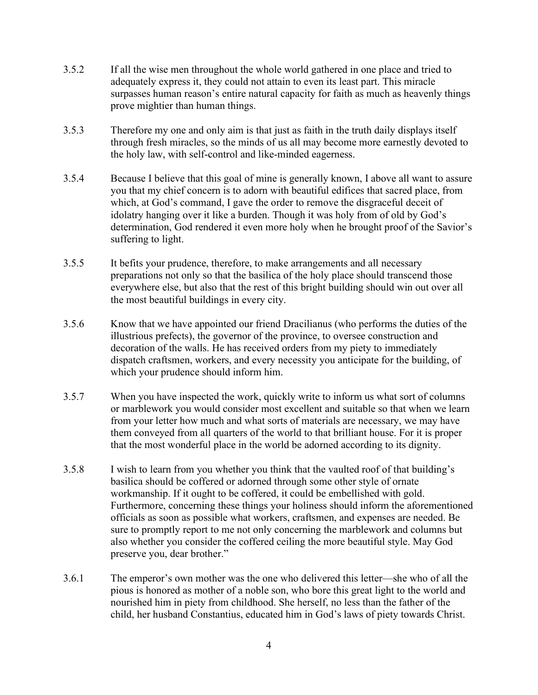- 3.5.2 If all the wise men throughout the whole world gathered in one place and tried to adequately express it, they could not attain to even its least part. This miracle surpasses human reason's entire natural capacity for faith as much as heavenly things prove mightier than human things.
- 3.5.3 Therefore my one and only aim is that just as faith in the truth daily displays itself through fresh miracles, so the minds of us all may become more earnestly devoted to the holy law, with self-control and like-minded eagerness.
- 3.5.4 Because I believe that this goal of mine is generally known, I above all want to assure you that my chief concern is to adorn with beautiful edifices that sacred place, from which, at God's command, I gave the order to remove the disgraceful deceit of idolatry hanging over it like a burden. Though it was holy from of old by God's determination, God rendered it even more holy when he brought proof of the Savior's suffering to light.
- 3.5.5 It befits your prudence, therefore, to make arrangements and all necessary preparations not only so that the basilica of the holy place should transcend those everywhere else, but also that the rest of this bright building should win out over all the most beautiful buildings in every city.
- 3.5.6 Know that we have appointed our friend Dracilianus (who performs the duties of the illustrious prefects), the governor of the province, to oversee construction and decoration of the walls. He has received orders from my piety to immediately dispatch craftsmen, workers, and every necessity you anticipate for the building, of which your prudence should inform him.
- 3.5.7 When you have inspected the work, quickly write to inform us what sort of columns or marblework you would consider most excellent and suitable so that when we learn from your letter how much and what sorts of materials are necessary, we may have them conveyed from all quarters of the world to that brilliant house. For it is proper that the most wonderful place in the world be adorned according to its dignity.
- 3.5.8 I wish to learn from you whether you think that the vaulted roof of that building's basilica should be coffered or adorned through some other style of ornate workmanship. If it ought to be coffered, it could be embellished with gold. Furthermore, concerning these things your holiness should inform the aforementioned officials as soon as possible what workers, craftsmen, and expenses are needed. Be sure to promptly report to me not only concerning the marblework and columns but also whether you consider the coffered ceiling the more beautiful style. May God preserve you, dear brother."
- 3.6.1 The emperor's own mother was the one who delivered this letter—she who of all the pious is honored as mother of a noble son, who bore this great light to the world and nourished him in piety from childhood. She herself, no less than the father of the child, her husband Constantius, educated him in God's laws of piety towards Christ.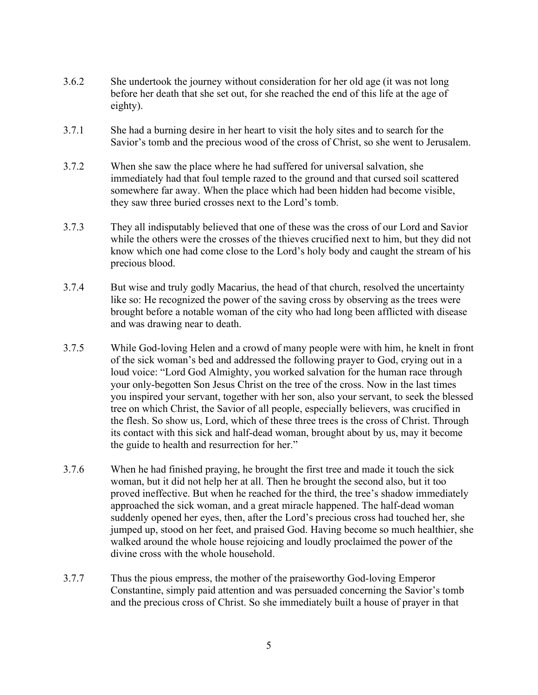- 3.6.2 She undertook the journey without consideration for her old age (it was not long before her death that she set out, for she reached the end of this life at the age of eighty).
- 3.7.1 She had a burning desire in her heart to visit the holy sites and to search for the Savior's tomb and the precious wood of the cross of Christ, so she went to Jerusalem.
- 3.7.2 When she saw the place where he had suffered for universal salvation, she immediately had that foul temple razed to the ground and that cursed soil scattered somewhere far away. When the place which had been hidden had become visible, they saw three buried crosses next to the Lord's tomb.
- 3.7.3 They all indisputably believed that one of these was the cross of our Lord and Savior while the others were the crosses of the thieves crucified next to him, but they did not know which one had come close to the Lord's holy body and caught the stream of his precious blood.
- 3.7.4 But wise and truly godly Macarius, the head of that church, resolved the uncertainty like so: He recognized the power of the saving cross by observing as the trees were brought before a notable woman of the city who had long been afflicted with disease and was drawing near to death.
- 3.7.5 While God-loving Helen and a crowd of many people were with him, he knelt in front of the sick woman's bed and addressed the following prayer to God, crying out in a loud voice: "Lord God Almighty, you worked salvation for the human race through your only-begotten Son Jesus Christ on the tree of the cross. Now in the last times you inspired your servant, together with her son, also your servant, to seek the blessed tree on which Christ, the Savior of all people, especially believers, was crucified in the flesh. So show us, Lord, which of these three trees is the cross of Christ. Through its contact with this sick and half-dead woman, brought about by us, may it become the guide to health and resurrection for her."
- 3.7.6 When he had finished praying, he brought the first tree and made it touch the sick woman, but it did not help her at all. Then he brought the second also, but it too proved ineffective. But when he reached for the third, the tree's shadow immediately approached the sick woman, and a great miracle happened. The half-dead woman suddenly opened her eyes, then, after the Lord's precious cross had touched her, she jumped up, stood on her feet, and praised God. Having become so much healthier, she walked around the whole house rejoicing and loudly proclaimed the power of the divine cross with the whole household.
- 3.7.7 Thus the pious empress, the mother of the praiseworthy God-loving Emperor Constantine, simply paid attention and was persuaded concerning the Savior's tomb and the precious cross of Christ. So she immediately built a house of prayer in that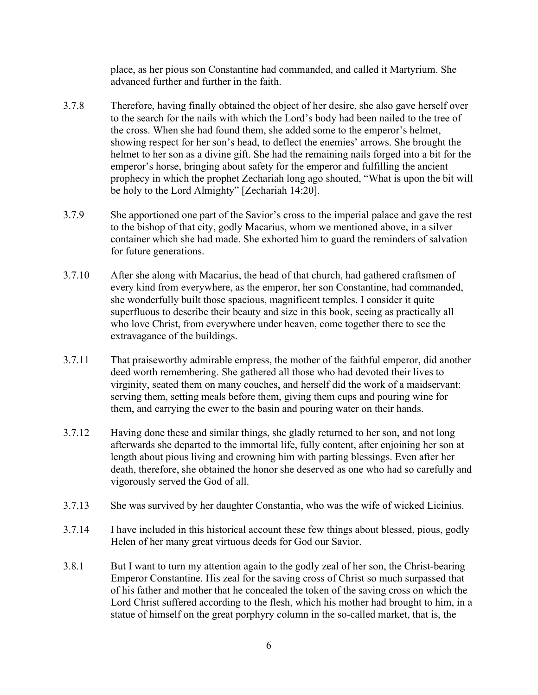place, as her pious son Constantine had commanded, and called it Martyrium. She advanced further and further in the faith.

- 3.7.8 Therefore, having finally obtained the object of her desire, she also gave herself over to the search for the nails with which the Lord's body had been nailed to the tree of the cross. When she had found them, she added some to the emperor's helmet, showing respect for her son's head, to deflect the enemies' arrows. She brought the helmet to her son as a divine gift. She had the remaining nails forged into a bit for the emperor's horse, bringing about safety for the emperor and fulfilling the ancient prophecy in which the prophet Zechariah long ago shouted, "What is upon the bit will be holy to the Lord Almighty" [Zechariah 14:20].
- 3.7.9 She apportioned one part of the Savior's cross to the imperial palace and gave the rest to the bishop of that city, godly Macarius, whom we mentioned above, in a silver container which she had made. She exhorted him to guard the reminders of salvation for future generations.
- 3.7.10 After she along with Macarius, the head of that church, had gathered craftsmen of every kind from everywhere, as the emperor, her son Constantine, had commanded, she wonderfully built those spacious, magnificent temples. I consider it quite superfluous to describe their beauty and size in this book, seeing as practically all who love Christ, from everywhere under heaven, come together there to see the extravagance of the buildings.
- 3.7.11 That praiseworthy admirable empress, the mother of the faithful emperor, did another deed worth remembering. She gathered all those who had devoted their lives to virginity, seated them on many couches, and herself did the work of a maidservant: serving them, setting meals before them, giving them cups and pouring wine for them, and carrying the ewer to the basin and pouring water on their hands.
- 3.7.12 Having done these and similar things, she gladly returned to her son, and not long afterwards she departed to the immortal life, fully content, after enjoining her son at length about pious living and crowning him with parting blessings. Even after her death, therefore, she obtained the honor she deserved as one who had so carefully and vigorously served the God of all.
- 3.7.13 She was survived by her daughter Constantia, who was the wife of wicked Licinius.
- 3.7.14 I have included in this historical account these few things about blessed, pious, godly Helen of her many great virtuous deeds for God our Savior.
- 3.8.1 But I want to turn my attention again to the godly zeal of her son, the Christ-bearing Emperor Constantine. His zeal for the saving cross of Christ so much surpassed that of his father and mother that he concealed the token of the saving cross on which the Lord Christ suffered according to the flesh, which his mother had brought to him, in a statue of himself on the great porphyry column in the so-called market, that is, the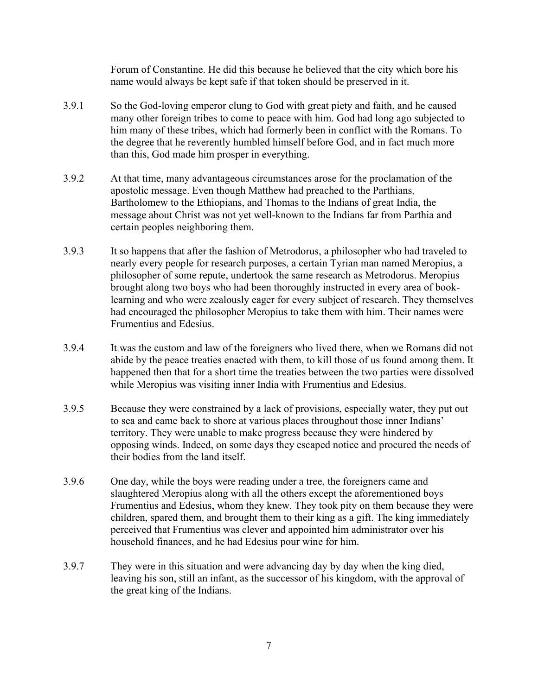Forum of Constantine. He did this because he believed that the city which bore his name would always be kept safe if that token should be preserved in it.

- 3.9.1 So the God-loving emperor clung to God with great piety and faith, and he caused many other foreign tribes to come to peace with him. God had long ago subjected to him many of these tribes, which had formerly been in conflict with the Romans. To the degree that he reverently humbled himself before God, and in fact much more than this, God made him prosper in everything.
- 3.9.2 At that time, many advantageous circumstances arose for the proclamation of the apostolic message. Even though Matthew had preached to the Parthians, Bartholomew to the Ethiopians, and Thomas to the Indians of great India, the message about Christ was not yet well-known to the Indians far from Parthia and certain peoples neighboring them.
- 3.9.3 It so happens that after the fashion of Metrodorus, a philosopher who had traveled to nearly every people for research purposes, a certain Tyrian man named Meropius, a philosopher of some repute, undertook the same research as Metrodorus. Meropius brought along two boys who had been thoroughly instructed in every area of booklearning and who were zealously eager for every subject of research. They themselves had encouraged the philosopher Meropius to take them with him. Their names were Frumentius and Edesius.
- 3.9.4 It was the custom and law of the foreigners who lived there, when we Romans did not abide by the peace treaties enacted with them, to kill those of us found among them. It happened then that for a short time the treaties between the two parties were dissolved while Meropius was visiting inner India with Frumentius and Edesius.
- 3.9.5 Because they were constrained by a lack of provisions, especially water, they put out to sea and came back to shore at various places throughout those inner Indians' territory. They were unable to make progress because they were hindered by opposing winds. Indeed, on some days they escaped notice and procured the needs of their bodies from the land itself.
- 3.9.6 One day, while the boys were reading under a tree, the foreigners came and slaughtered Meropius along with all the others except the aforementioned boys Frumentius and Edesius, whom they knew. They took pity on them because they were children, spared them, and brought them to their king as a gift. The king immediately perceived that Frumentius was clever and appointed him administrator over his household finances, and he had Edesius pour wine for him.
- 3.9.7 They were in this situation and were advancing day by day when the king died, leaving his son, still an infant, as the successor of his kingdom, with the approval of the great king of the Indians.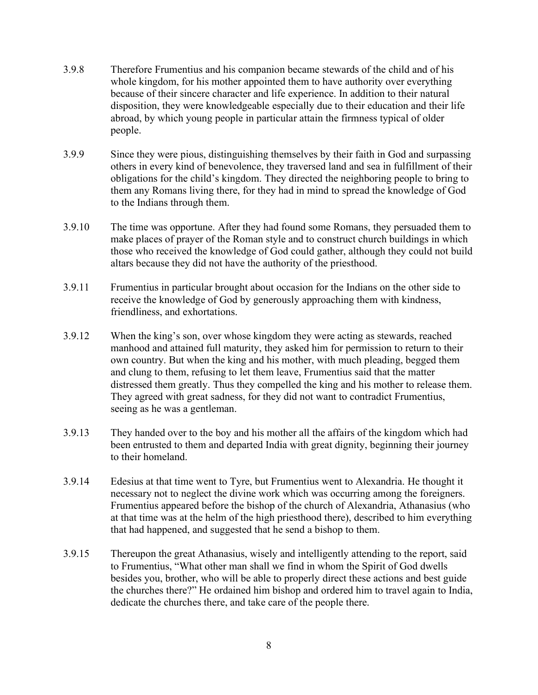- 3.9.8 Therefore Frumentius and his companion became stewards of the child and of his whole kingdom, for his mother appointed them to have authority over everything because of their sincere character and life experience. In addition to their natural disposition, they were knowledgeable especially due to their education and their life abroad, by which young people in particular attain the firmness typical of older people.
- 3.9.9 Since they were pious, distinguishing themselves by their faith in God and surpassing others in every kind of benevolence, they traversed land and sea in fulfillment of their obligations for the child's kingdom. They directed the neighboring people to bring to them any Romans living there, for they had in mind to spread the knowledge of God to the Indians through them.
- 3.9.10 The time was opportune. After they had found some Romans, they persuaded them to make places of prayer of the Roman style and to construct church buildings in which those who received the knowledge of God could gather, although they could not build altars because they did not have the authority of the priesthood.
- 3.9.11 Frumentius in particular brought about occasion for the Indians on the other side to receive the knowledge of God by generously approaching them with kindness, friendliness, and exhortations.
- 3.9.12 When the king's son, over whose kingdom they were acting as stewards, reached manhood and attained full maturity, they asked him for permission to return to their own country. But when the king and his mother, with much pleading, begged them and clung to them, refusing to let them leave, Frumentius said that the matter distressed them greatly. Thus they compelled the king and his mother to release them. They agreed with great sadness, for they did not want to contradict Frumentius, seeing as he was a gentleman.
- 3.9.13 They handed over to the boy and his mother all the affairs of the kingdom which had been entrusted to them and departed India with great dignity, beginning their journey to their homeland.
- 3.9.14 Edesius at that time went to Tyre, but Frumentius went to Alexandria. He thought it necessary not to neglect the divine work which was occurring among the foreigners. Frumentius appeared before the bishop of the church of Alexandria, Athanasius (who at that time was at the helm of the high priesthood there), described to him everything that had happened, and suggested that he send a bishop to them.
- 3.9.15 Thereupon the great Athanasius, wisely and intelligently attending to the report, said to Frumentius, "What other man shall we find in whom the Spirit of God dwells besides you, brother, who will be able to properly direct these actions and best guide the churches there?" He ordained him bishop and ordered him to travel again to India, dedicate the churches there, and take care of the people there.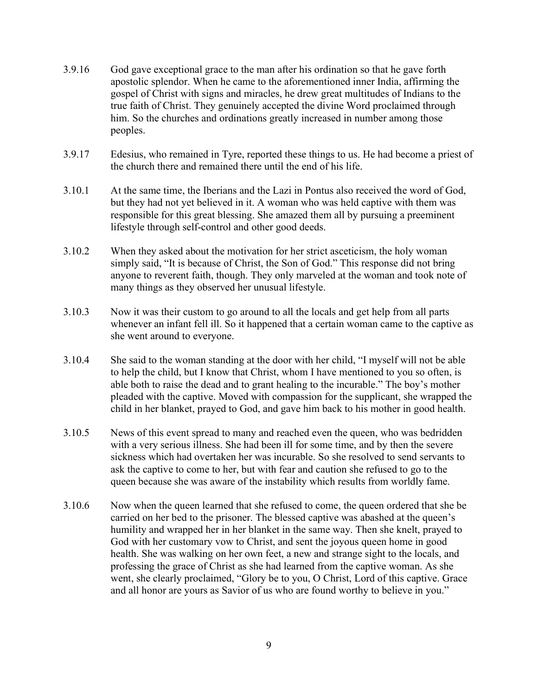- 3.9.16 God gave exceptional grace to the man after his ordination so that he gave forth apostolic splendor. When he came to the aforementioned inner India, affirming the gospel of Christ with signs and miracles, he drew great multitudes of Indians to the true faith of Christ. They genuinely accepted the divine Word proclaimed through him. So the churches and ordinations greatly increased in number among those peoples.
- 3.9.17 Edesius, who remained in Tyre, reported these things to us. He had become a priest of the church there and remained there until the end of his life.
- 3.10.1 At the same time, the Iberians and the Lazi in Pontus also received the word of God, but they had not yet believed in it. A woman who was held captive with them was responsible for this great blessing. She amazed them all by pursuing a preeminent lifestyle through self-control and other good deeds.
- 3.10.2 When they asked about the motivation for her strict asceticism, the holy woman simply said, "It is because of Christ, the Son of God." This response did not bring anyone to reverent faith, though. They only marveled at the woman and took note of many things as they observed her unusual lifestyle.
- 3.10.3 Now it was their custom to go around to all the locals and get help from all parts whenever an infant fell ill. So it happened that a certain woman came to the captive as she went around to everyone.
- 3.10.4 She said to the woman standing at the door with her child, "I myself will not be able to help the child, but I know that Christ, whom I have mentioned to you so often, is able both to raise the dead and to grant healing to the incurable." The boy's mother pleaded with the captive. Moved with compassion for the supplicant, she wrapped the child in her blanket, prayed to God, and gave him back to his mother in good health.
- 3.10.5 News of this event spread to many and reached even the queen, who was bedridden with a very serious illness. She had been ill for some time, and by then the severe sickness which had overtaken her was incurable. So she resolved to send servants to ask the captive to come to her, but with fear and caution she refused to go to the queen because she was aware of the instability which results from worldly fame.
- 3.10.6 Now when the queen learned that she refused to come, the queen ordered that she be carried on her bed to the prisoner. The blessed captive was abashed at the queen's humility and wrapped her in her blanket in the same way. Then she knelt, prayed to God with her customary vow to Christ, and sent the joyous queen home in good health. She was walking on her own feet, a new and strange sight to the locals, and professing the grace of Christ as she had learned from the captive woman. As she went, she clearly proclaimed, "Glory be to you, O Christ, Lord of this captive. Grace and all honor are yours as Savior of us who are found worthy to believe in you."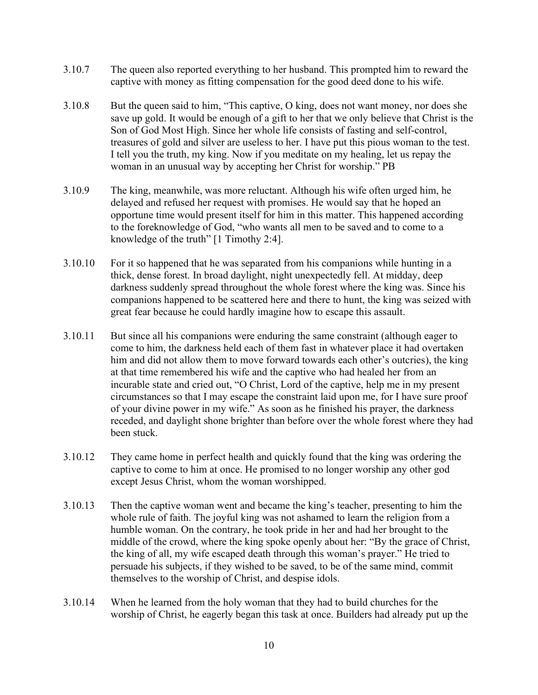- 3.10.7 The queen also reported everything to her husband. This prompted him to reward the captive with money as fitting compensation for the good deed done to his wife.
- 3.10.8 But the queen said to him, "This captive, O king, does not want money, nor does she save up gold. It would be enough of a gift to her that we only believe that Christ is the Son of God Most High. Since her whole life consists of fasting and self-control, treasures of gold and silver are useless to her. I have put this pious woman to the test. I tell you the truth, my king. Now if you meditate on my healing, let us repay the woman in an unusual way by accepting her Christ for worship." PB
- 3.10.9 The king, meanwhile, was more reluctant. Although his wife often urged him, he delayed and refused her request with promises. He would say that he hoped an opportune time would present itself for him in this matter. This happened according to the foreknowledge of God, "who wants all men to be saved and to come to a knowledge of the truth" [1 Timothy 2:4].
- 3.10.10 For it so happened that he was separated from his companions while hunting in a thick, dense forest. In broad daylight, night unexpectedly fell. At midday, deep darkness suddenly spread throughout the whole forest where the king was. Since his companions happened to be scattered here and there to hunt, the king was seized with great fear because he could hardly imagine how to escape this assault.
- 3.10.11 But since all his companions were enduring the same constraint (although eager to come to him, the darkness held each of them fast in whatever place it had overtaken him and did not allow them to move forward towards each other's outcries), the king at that time remembered his wife and the captive who had healed her from an incurable state and cried out, "O Christ, Lord of the captive, help me in my present circumstances so that I may escape the constraint laid upon me, for I have sure proof of your divine power in my wife." As soon as he finished his prayer, the darkness receded, and daylight shone brighter than before over the whole forest where they had been stuck.
- 3.10.12 They came home in perfect health and quickly found that the king was ordering the captive to come to him at once. He promised to no longer worship any other god except Jesus Christ, whom the woman worshipped.
- 3.10.13 Then the captive woman went and became the king's teacher, presenting to him the whole rule of faith. The joyful king was not ashamed to learn the religion from a humble woman. On the contrary, he took pride in her and had her brought to the middle of the crowd, where the king spoke openly about her: "By the grace of Christ, the king of all, my wife escaped death through this woman's prayer." He tried to persuade his subjects, if they wished to be saved, to be of the same mind, commit themselves to the worship of Christ, and despise idols.
- 3.10.14 When he learned from the holy woman that they had to build churches for the worship of Christ, he eagerly began this task at once. Builders had already put up the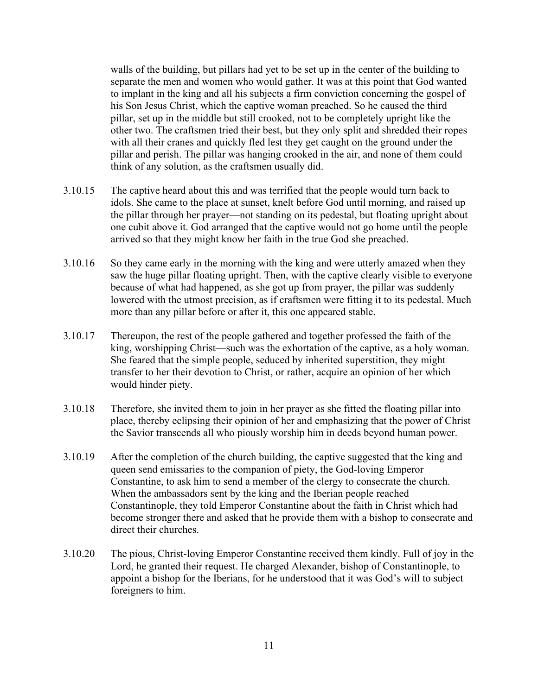walls of the building, but pillars had yet to be set up in the center of the building to separate the men and women who would gather. It was at this point that God wanted to implant in the king and all his subjects a firm conviction concerning the gospel of his Son Jesus Christ, which the captive woman preached. So he caused the third pillar, set up in the middle but still crooked, not to be completely upright like the other two. The craftsmen tried their best, but they only split and shredded their ropes with all their cranes and quickly fled lest they get caught on the ground under the pillar and perish. The pillar was hanging crooked in the air, and none of them could think of any solution, as the craftsmen usually did.

- 3.10.15 The captive heard about this and was terrified that the people would turn back to idols. She came to the place at sunset, knelt before God until morning, and raised up the pillar through her prayer—not standing on its pedestal, but floating upright about one cubit above it. God arranged that the captive would not go home until the people arrived so that they might know her faith in the true God she preached.
- 3.10.16 So they came early in the morning with the king and were utterly amazed when they saw the huge pillar floating upright. Then, with the captive clearly visible to everyone because of what had happened, as she got up from prayer, the pillar was suddenly lowered with the utmost precision, as if craftsmen were fitting it to its pedestal. Much more than any pillar before or after it, this one appeared stable.
- 3.10.17 Thereupon, the rest of the people gathered and together professed the faith of the king, worshipping Christ—such was the exhortation of the captive, as a holy woman. She feared that the simple people, seduced by inherited superstition, they might transfer to her their devotion to Christ, or rather, acquire an opinion of her which would hinder piety.
- 3.10.18 Therefore, she invited them to join in her prayer as she fitted the floating pillar into place, thereby eclipsing their opinion of her and emphasizing that the power of Christ the Savior transcends all who piously worship him in deeds beyond human power.
- 3.10.19 After the completion of the church building, the captive suggested that the king and queen send emissaries to the companion of piety, the God-loving Emperor Constantine, to ask him to send a member of the clergy to consecrate the church. When the ambassadors sent by the king and the Iberian people reached Constantinople, they told Emperor Constantine about the faith in Christ which had become stronger there and asked that he provide them with a bishop to consecrate and direct their churches.
- 3.10.20 The pious, Christ-loving Emperor Constantine received them kindly. Full of joy in the Lord, he granted their request. He charged Alexander, bishop of Constantinople, to appoint a bishop for the Iberians, for he understood that it was God's will to subject foreigners to him.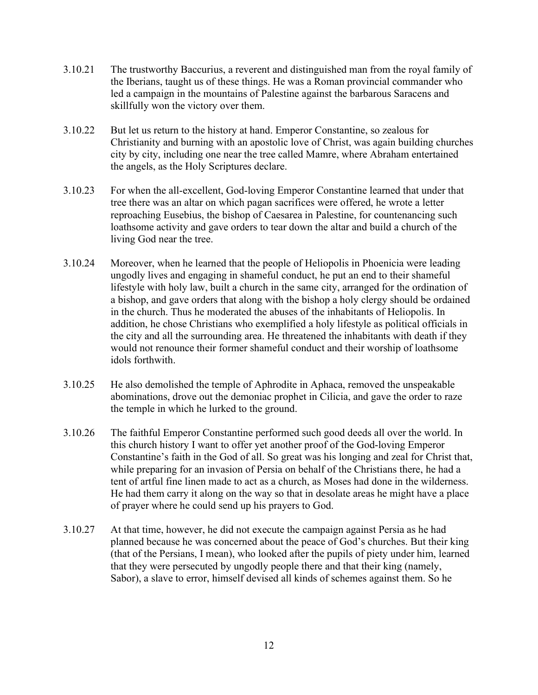- 3.10.21 The trustworthy Baccurius, a reverent and distinguished man from the royal family of the Iberians, taught us of these things. He was a Roman provincial commander who led a campaign in the mountains of Palestine against the barbarous Saracens and skillfully won the victory over them.
- 3.10.22 But let us return to the history at hand. Emperor Constantine, so zealous for Christianity and burning with an apostolic love of Christ, was again building churches city by city, including one near the tree called Mamre, where Abraham entertained the angels, as the Holy Scriptures declare.
- 3.10.23 For when the all-excellent, God-loving Emperor Constantine learned that under that tree there was an altar on which pagan sacrifices were offered, he wrote a letter reproaching Eusebius, the bishop of Caesarea in Palestine, for countenancing such loathsome activity and gave orders to tear down the altar and build a church of the living God near the tree.
- 3.10.24 Moreover, when he learned that the people of Heliopolis in Phoenicia were leading ungodly lives and engaging in shameful conduct, he put an end to their shameful lifestyle with holy law, built a church in the same city, arranged for the ordination of a bishop, and gave orders that along with the bishop a holy clergy should be ordained in the church. Thus he moderated the abuses of the inhabitants of Heliopolis. In addition, he chose Christians who exemplified a holy lifestyle as political officials in the city and all the surrounding area. He threatened the inhabitants with death if they would not renounce their former shameful conduct and their worship of loathsome idols forthwith.
- 3.10.25 He also demolished the temple of Aphrodite in Aphaca, removed the unspeakable abominations, drove out the demoniac prophet in Cilicia, and gave the order to raze the temple in which he lurked to the ground.
- 3.10.26 The faithful Emperor Constantine performed such good deeds all over the world. In this church history I want to offer yet another proof of the God-loving Emperor Constantine's faith in the God of all. So great was his longing and zeal for Christ that, while preparing for an invasion of Persia on behalf of the Christians there, he had a tent of artful fine linen made to act as a church, as Moses had done in the wilderness. He had them carry it along on the way so that in desolate areas he might have a place of prayer where he could send up his prayers to God.
- 3.10.27 At that time, however, he did not execute the campaign against Persia as he had planned because he was concerned about the peace of God's churches. But their king (that of the Persians, I mean), who looked after the pupils of piety under him, learned that they were persecuted by ungodly people there and that their king (namely, Sabor), a slave to error, himself devised all kinds of schemes against them. So he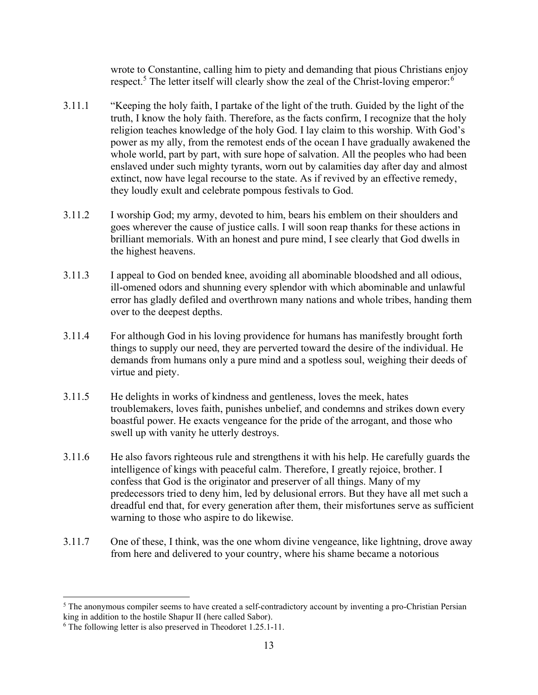wrote to Constantine, calling him to piety and demanding that pious Christians enjoy respect.<sup>5</sup> The letter itself will clearly show the zeal of the Christ-loving emperor:<sup>6</sup>

- 3.11.1 "Keeping the holy faith, I partake of the light of the truth. Guided by the light of the truth, I know the holy faith. Therefore, as the facts confirm, I recognize that the holy religion teaches knowledge of the holy God. I lay claim to this worship. With God's power as my ally, from the remotest ends of the ocean I have gradually awakened the whole world, part by part, with sure hope of salvation. All the peoples who had been enslaved under such mighty tyrants, worn out by calamities day after day and almost extinct, now have legal recourse to the state. As if revived by an effective remedy, they loudly exult and celebrate pompous festivals to God.
- 3.11.2 I worship God; my army, devoted to him, bears his emblem on their shoulders and goes wherever the cause of justice calls. I will soon reap thanks for these actions in brilliant memorials. With an honest and pure mind, I see clearly that God dwells in the highest heavens.
- 3.11.3 I appeal to God on bended knee, avoiding all abominable bloodshed and all odious, ill-omened odors and shunning every splendor with which abominable and unlawful error has gladly defiled and overthrown many nations and whole tribes, handing them over to the deepest depths.
- 3.11.4 For although God in his loving providence for humans has manifestly brought forth things to supply our need, they are perverted toward the desire of the individual. He demands from humans only a pure mind and a spotless soul, weighing their deeds of virtue and piety.
- 3.11.5 He delights in works of kindness and gentleness, loves the meek, hates troublemakers, loves faith, punishes unbelief, and condemns and strikes down every boastful power. He exacts vengeance for the pride of the arrogant, and those who swell up with vanity he utterly destroys.
- 3.11.6 He also favors righteous rule and strengthens it with his help. He carefully guards the intelligence of kings with peaceful calm. Therefore, I greatly rejoice, brother. I confess that God is the originator and preserver of all things. Many of my predecessors tried to deny him, led by delusional errors. But they have all met such a dreadful end that, for every generation after them, their misfortunes serve as sufficient warning to those who aspire to do likewise.
- 3.11.7 One of these, I think, was the one whom divine vengeance, like lightning, drove away from here and delivered to your country, where his shame became a notorious

<sup>&</sup>lt;sup>5</sup> The anonymous compiler seems to have created a self-contradictory account by inventing a pro-Christian Persian king in addition to the hostile Shapur II (here called Sabor).

<sup>6</sup> The following letter is also preserved in Theodoret 1.25.1-11.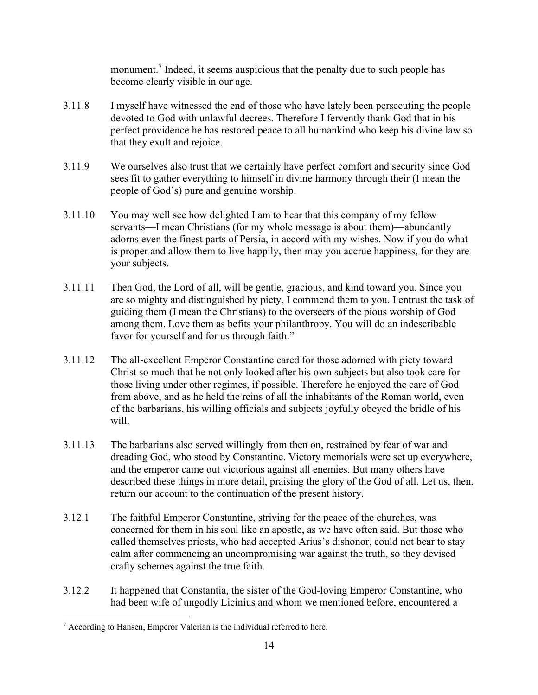monument.<sup>7</sup> Indeed, it seems auspicious that the penalty due to such people has become clearly visible in our age.

- 3.11.8 I myself have witnessed the end of those who have lately been persecuting the people devoted to God with unlawful decrees. Therefore I fervently thank God that in his perfect providence he has restored peace to all humankind who keep his divine law so that they exult and rejoice.
- 3.11.9 We ourselves also trust that we certainly have perfect comfort and security since God sees fit to gather everything to himself in divine harmony through their (I mean the people of God's) pure and genuine worship.
- 3.11.10 You may well see how delighted I am to hear that this company of my fellow servants—I mean Christians (for my whole message is about them)—abundantly adorns even the finest parts of Persia, in accord with my wishes. Now if you do what is proper and allow them to live happily, then may you accrue happiness, for they are your subjects.
- 3.11.11 Then God, the Lord of all, will be gentle, gracious, and kind toward you. Since you are so mighty and distinguished by piety, I commend them to you. I entrust the task of guiding them (I mean the Christians) to the overseers of the pious worship of God among them. Love them as befits your philanthropy. You will do an indescribable favor for yourself and for us through faith."
- 3.11.12 The all-excellent Emperor Constantine cared for those adorned with piety toward Christ so much that he not only looked after his own subjects but also took care for those living under other regimes, if possible. Therefore he enjoyed the care of God from above, and as he held the reins of all the inhabitants of the Roman world, even of the barbarians, his willing officials and subjects joyfully obeyed the bridle of his will.
- 3.11.13 The barbarians also served willingly from then on, restrained by fear of war and dreading God, who stood by Constantine. Victory memorials were set up everywhere, and the emperor came out victorious against all enemies. But many others have described these things in more detail, praising the glory of the God of all. Let us, then, return our account to the continuation of the present history.
- 3.12.1 The faithful Emperor Constantine, striving for the peace of the churches, was concerned for them in his soul like an apostle, as we have often said. But those who called themselves priests, who had accepted Arius's dishonor, could not bear to stay calm after commencing an uncompromising war against the truth, so they devised crafty schemes against the true faith.
- 3.12.2 It happened that Constantia, the sister of the God-loving Emperor Constantine, who had been wife of ungodly Licinius and whom we mentioned before, encountered a

 $7$  According to Hansen, Emperor Valerian is the individual referred to here.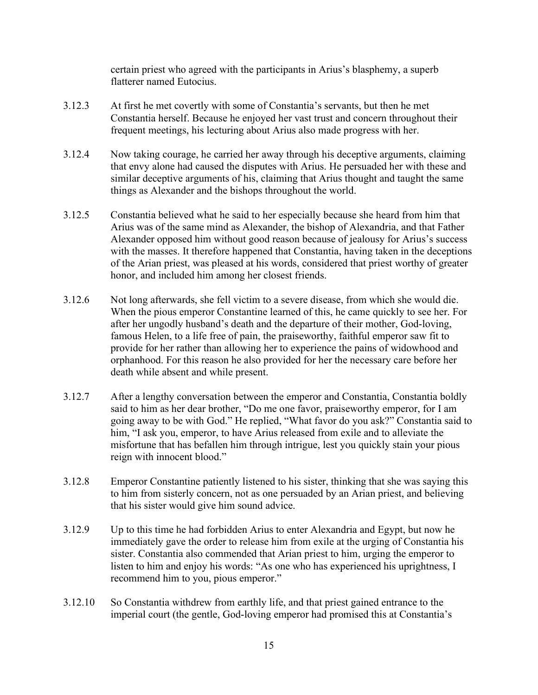certain priest who agreed with the participants in Arius's blasphemy, a superb flatterer named Eutocius.

- 3.12.3 At first he met covertly with some of Constantia's servants, but then he met Constantia herself. Because he enjoyed her vast trust and concern throughout their frequent meetings, his lecturing about Arius also made progress with her.
- 3.12.4 Now taking courage, he carried her away through his deceptive arguments, claiming that envy alone had caused the disputes with Arius. He persuaded her with these and similar deceptive arguments of his, claiming that Arius thought and taught the same things as Alexander and the bishops throughout the world.
- 3.12.5 Constantia believed what he said to her especially because she heard from him that Arius was of the same mind as Alexander, the bishop of Alexandria, and that Father Alexander opposed him without good reason because of jealousy for Arius's success with the masses. It therefore happened that Constantia, having taken in the deceptions of the Arian priest, was pleased at his words, considered that priest worthy of greater honor, and included him among her closest friends.
- 3.12.6 Not long afterwards, she fell victim to a severe disease, from which she would die. When the pious emperor Constantine learned of this, he came quickly to see her. For after her ungodly husband's death and the departure of their mother, God-loving, famous Helen, to a life free of pain, the praiseworthy, faithful emperor saw fit to provide for her rather than allowing her to experience the pains of widowhood and orphanhood. For this reason he also provided for her the necessary care before her death while absent and while present.
- 3.12.7 After a lengthy conversation between the emperor and Constantia, Constantia boldly said to him as her dear brother, "Do me one favor, praiseworthy emperor, for I am going away to be with God." He replied, "What favor do you ask?" Constantia said to him, "I ask you, emperor, to have Arius released from exile and to alleviate the misfortune that has befallen him through intrigue, lest you quickly stain your pious reign with innocent blood."
- 3.12.8 Emperor Constantine patiently listened to his sister, thinking that she was saying this to him from sisterly concern, not as one persuaded by an Arian priest, and believing that his sister would give him sound advice.
- 3.12.9 Up to this time he had forbidden Arius to enter Alexandria and Egypt, but now he immediately gave the order to release him from exile at the urging of Constantia his sister. Constantia also commended that Arian priest to him, urging the emperor to listen to him and enjoy his words: "As one who has experienced his uprightness, I recommend him to you, pious emperor."
- 3.12.10 So Constantia withdrew from earthly life, and that priest gained entrance to the imperial court (the gentle, God-loving emperor had promised this at Constantia's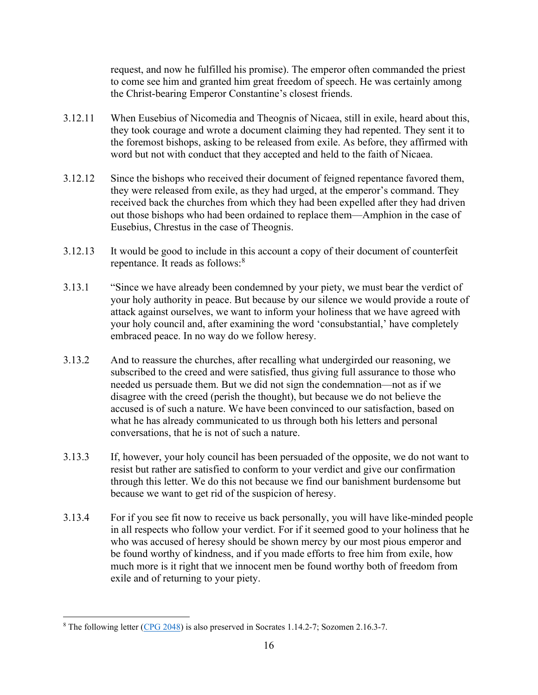request, and now he fulfilled his promise). The emperor often commanded the priest to come see him and granted him great freedom of speech. He was certainly among the Christ-bearing Emperor Constantine's closest friends.

- 3.12.11 When Eusebius of Nicomedia and Theognis of Nicaea, still in exile, heard about this, they took courage and wrote a document claiming they had repented. They sent it to the foremost bishops, asking to be released from exile. As before, they affirmed with word but not with conduct that they accepted and held to the faith of Nicaea.
- 3.12.12 Since the bishops who received their document of feigned repentance favored them, they were released from exile, as they had urged, at the emperor's command. They received back the churches from which they had been expelled after they had driven out those bishops who had been ordained to replace them—Amphion in the case of Eusebius, Chrestus in the case of Theognis.
- 3.12.13 It would be good to include in this account a copy of their document of counterfeit repentance. It reads as follows:<sup>8</sup>
- 3.13.1 "Since we have already been condemned by your piety, we must bear the verdict of your holy authority in peace. But because by our silence we would provide a route of attack against ourselves, we want to inform your holiness that we have agreed with your holy council and, after examining the word 'consubstantial,' have completely embraced peace. In no way do we follow heresy.
- 3.13.2 And to reassure the churches, after recalling what undergirded our reasoning, we subscribed to the creed and were satisfied, thus giving full assurance to those who needed us persuade them. But we did not sign the condemnation—not as if we disagree with the creed (perish the thought), but because we do not believe the accused is of such a nature. We have been convinced to our satisfaction, based on what he has already communicated to us through both his letters and personal conversations, that he is not of such a nature.
- 3.13.3 If, however, your holy council has been persuaded of the opposite, we do not want to resist but rather are satisfied to conform to your verdict and give our confirmation through this letter. We do this not because we find our banishment burdensome but because we want to get rid of the suspicion of heresy.
- 3.13.4 For if you see fit now to receive us back personally, you will have like-minded people in all respects who follow your verdict. For if it seemed good to your holiness that he who was accused of heresy should be shown mercy by our most pious emperor and be found worthy of kindness, and if you made efforts to free him from exile, how much more is it right that we innocent men be found worthy both of freedom from exile and of returning to your piety.

<sup>&</sup>lt;sup>8</sup> The following letter  $(CPG 2048)$  is also preserved in Socrates 1.14.2-7; Sozomen 2.16.3-7.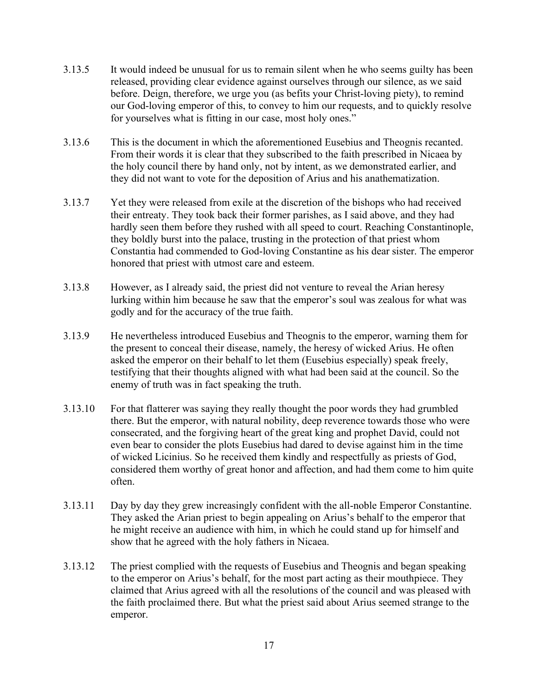- 3.13.5 It would indeed be unusual for us to remain silent when he who seems guilty has been released, providing clear evidence against ourselves through our silence, as we said before. Deign, therefore, we urge you (as befits your Christ-loving piety), to remind our God-loving emperor of this, to convey to him our requests, and to quickly resolve for yourselves what is fitting in our case, most holy ones."
- 3.13.6 This is the document in which the aforementioned Eusebius and Theognis recanted. From their words it is clear that they subscribed to the faith prescribed in Nicaea by the holy council there by hand only, not by intent, as we demonstrated earlier, and they did not want to vote for the deposition of Arius and his anathematization.
- 3.13.7 Yet they were released from exile at the discretion of the bishops who had received their entreaty. They took back their former parishes, as I said above, and they had hardly seen them before they rushed with all speed to court. Reaching Constantinople, they boldly burst into the palace, trusting in the protection of that priest whom Constantia had commended to God-loving Constantine as his dear sister. The emperor honored that priest with utmost care and esteem.
- 3.13.8 However, as I already said, the priest did not venture to reveal the Arian heresy lurking within him because he saw that the emperor's soul was zealous for what was godly and for the accuracy of the true faith.
- 3.13.9 He nevertheless introduced Eusebius and Theognis to the emperor, warning them for the present to conceal their disease, namely, the heresy of wicked Arius. He often asked the emperor on their behalf to let them (Eusebius especially) speak freely, testifying that their thoughts aligned with what had been said at the council. So the enemy of truth was in fact speaking the truth.
- 3.13.10 For that flatterer was saying they really thought the poor words they had grumbled there. But the emperor, with natural nobility, deep reverence towards those who were consecrated, and the forgiving heart of the great king and prophet David, could not even bear to consider the plots Eusebius had dared to devise against him in the time of wicked Licinius. So he received them kindly and respectfully as priests of God, considered them worthy of great honor and affection, and had them come to him quite often.
- 3.13.11 Day by day they grew increasingly confident with the all-noble Emperor Constantine. They asked the Arian priest to begin appealing on Arius's behalf to the emperor that he might receive an audience with him, in which he could stand up for himself and show that he agreed with the holy fathers in Nicaea.
- 3.13.12 The priest complied with the requests of Eusebius and Theognis and began speaking to the emperor on Arius's behalf, for the most part acting as their mouthpiece. They claimed that Arius agreed with all the resolutions of the council and was pleased with the faith proclaimed there. But what the priest said about Arius seemed strange to the emperor.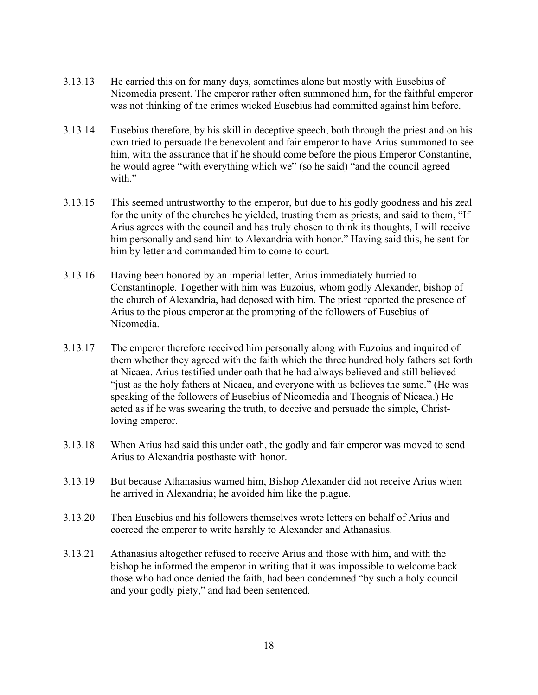- 3.13.13 He carried this on for many days, sometimes alone but mostly with Eusebius of Nicomedia present. The emperor rather often summoned him, for the faithful emperor was not thinking of the crimes wicked Eusebius had committed against him before.
- 3.13.14 Eusebius therefore, by his skill in deceptive speech, both through the priest and on his own tried to persuade the benevolent and fair emperor to have Arius summoned to see him, with the assurance that if he should come before the pious Emperor Constantine, he would agree "with everything which we" (so he said) "and the council agreed with."
- 3.13.15 This seemed untrustworthy to the emperor, but due to his godly goodness and his zeal for the unity of the churches he yielded, trusting them as priests, and said to them, "If Arius agrees with the council and has truly chosen to think its thoughts, I will receive him personally and send him to Alexandria with honor." Having said this, he sent for him by letter and commanded him to come to court.
- 3.13.16 Having been honored by an imperial letter, Arius immediately hurried to Constantinople. Together with him was Euzoius, whom godly Alexander, bishop of the church of Alexandria, had deposed with him. The priest reported the presence of Arius to the pious emperor at the prompting of the followers of Eusebius of Nicomedia.
- 3.13.17 The emperor therefore received him personally along with Euzoius and inquired of them whether they agreed with the faith which the three hundred holy fathers set forth at Nicaea. Arius testified under oath that he had always believed and still believed "just as the holy fathers at Nicaea, and everyone with us believes the same." (He was speaking of the followers of Eusebius of Nicomedia and Theognis of Nicaea.) He acted as if he was swearing the truth, to deceive and persuade the simple, Christloving emperor.
- 3.13.18 When Arius had said this under oath, the godly and fair emperor was moved to send Arius to Alexandria posthaste with honor.
- 3.13.19 But because Athanasius warned him, Bishop Alexander did not receive Arius when he arrived in Alexandria; he avoided him like the plague.
- 3.13.20 Then Eusebius and his followers themselves wrote letters on behalf of Arius and coerced the emperor to write harshly to Alexander and Athanasius.
- 3.13.21 Athanasius altogether refused to receive Arius and those with him, and with the bishop he informed the emperor in writing that it was impossible to welcome back those who had once denied the faith, had been condemned "by such a holy council and your godly piety," and had been sentenced.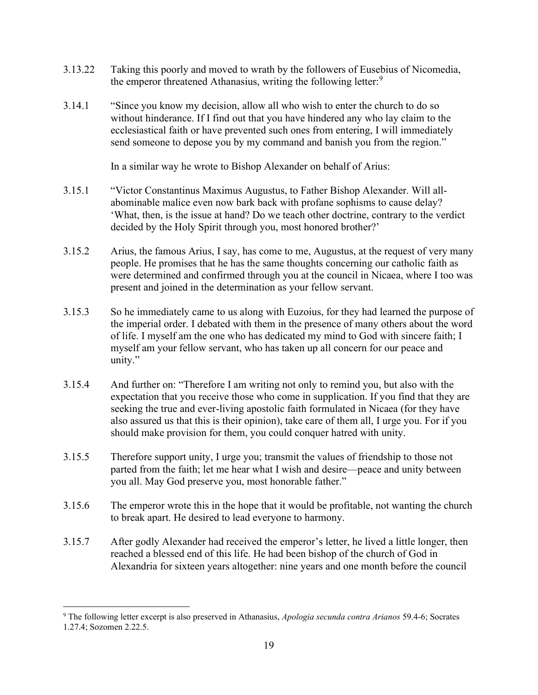- 3.13.22 Taking this poorly and moved to wrath by the followers of Eusebius of Nicomedia, the emperor threatened Athanasius, writing the following letter:<sup>9</sup>
- 3.14.1 "Since you know my decision, allow all who wish to enter the church to do so without hinderance. If I find out that you have hindered any who lay claim to the ecclesiastical faith or have prevented such ones from entering, I will immediately send someone to depose you by my command and banish you from the region."

In a similar way he wrote to Bishop Alexander on behalf of Arius:

- 3.15.1 "Victor Constantinus Maximus Augustus, to Father Bishop Alexander. Will allabominable malice even now bark back with profane sophisms to cause delay? 'What, then, is the issue at hand? Do we teach other doctrine, contrary to the verdict decided by the Holy Spirit through you, most honored brother?'
- 3.15.2 Arius, the famous Arius, I say, has come to me, Augustus, at the request of very many people. He promises that he has the same thoughts concerning our catholic faith as were determined and confirmed through you at the council in Nicaea, where I too was present and joined in the determination as your fellow servant.
- 3.15.3 So he immediately came to us along with Euzoius, for they had learned the purpose of the imperial order. I debated with them in the presence of many others about the word of life. I myself am the one who has dedicated my mind to God with sincere faith; I myself am your fellow servant, who has taken up all concern for our peace and unity."
- 3.15.4 And further on: "Therefore I am writing not only to remind you, but also with the expectation that you receive those who come in supplication. If you find that they are seeking the true and ever-living apostolic faith formulated in Nicaea (for they have also assured us that this is their opinion), take care of them all, I urge you. For if you should make provision for them, you could conquer hatred with unity.
- 3.15.5 Therefore support unity, I urge you; transmit the values of friendship to those not parted from the faith; let me hear what I wish and desire—peace and unity between you all. May God preserve you, most honorable father."
- 3.15.6 The emperor wrote this in the hope that it would be profitable, not wanting the church to break apart. He desired to lead everyone to harmony.
- 3.15.7 After godly Alexander had received the emperor's letter, he lived a little longer, then reached a blessed end of this life. He had been bishop of the church of God in Alexandria for sixteen years altogether: nine years and one month before the council

<sup>&</sup>lt;sup>9</sup> The following letter excerpt is also preserved in Athanasius, Apologia secunda contra Arianos 59.4-6; Socrates 1.27.4; Sozomen 2.22.5.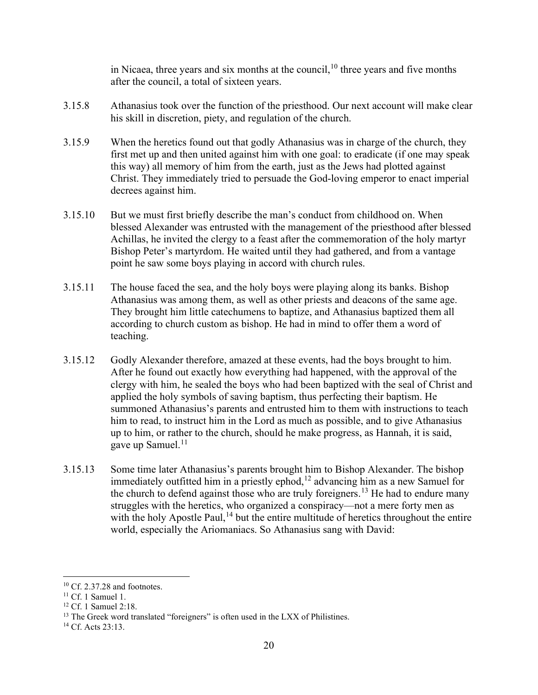in Nicaea, three years and six months at the council, $10$  three years and five months after the council, a total of sixteen years.

- 3.15.8 Athanasius took over the function of the priesthood. Our next account will make clear his skill in discretion, piety, and regulation of the church.
- 3.15.9 When the heretics found out that godly Athanasius was in charge of the church, they first met up and then united against him with one goal: to eradicate (if one may speak this way) all memory of him from the earth, just as the Jews had plotted against Christ. They immediately tried to persuade the God-loving emperor to enact imperial decrees against him.
- 3.15.10 But we must first briefly describe the man's conduct from childhood on. When blessed Alexander was entrusted with the management of the priesthood after blessed Achillas, he invited the clergy to a feast after the commemoration of the holy martyr Bishop Peter's martyrdom. He waited until they had gathered, and from a vantage point he saw some boys playing in accord with church rules.
- 3.15.11 The house faced the sea, and the holy boys were playing along its banks. Bishop Athanasius was among them, as well as other priests and deacons of the same age. They brought him little catechumens to baptize, and Athanasius baptized them all according to church custom as bishop. He had in mind to offer them a word of teaching.
- 3.15.12 Godly Alexander therefore, amazed at these events, had the boys brought to him. After he found out exactly how everything had happened, with the approval of the clergy with him, he sealed the boys who had been baptized with the seal of Christ and applied the holy symbols of saving baptism, thus perfecting their baptism. He summoned Athanasius's parents and entrusted him to them with instructions to teach him to read, to instruct him in the Lord as much as possible, and to give Athanasius up to him, or rather to the church, should he make progress, as Hannah, it is said, gave up Samuel. $^{11}$
- 3.15.13 Some time later Athanasius's parents brought him to Bishop Alexander. The bishop immediately outfitted him in a priestly ephod,  $12$  advancing him as a new Samuel for the church to defend against those who are truly foreigners.<sup>13</sup> He had to endure many struggles with the heretics, who organized a conspiracy—not a mere forty men as with the holy Apostle Paul,<sup>14</sup> but the entire multitude of heretics throughout the entire world, especially the Ariomaniacs. So Athanasius sang with David:

 $10$  Cf. 2.37.28 and footnotes.

 $11$  Cf. 1 Samuel 1.

<sup>12</sup> Cf. 1 Samuel 2:18.

 $13$  The Greek word translated "foreigners" is often used in the LXX of Philistines.

<sup>&</sup>lt;sup>14</sup> Cf. Acts 23:13.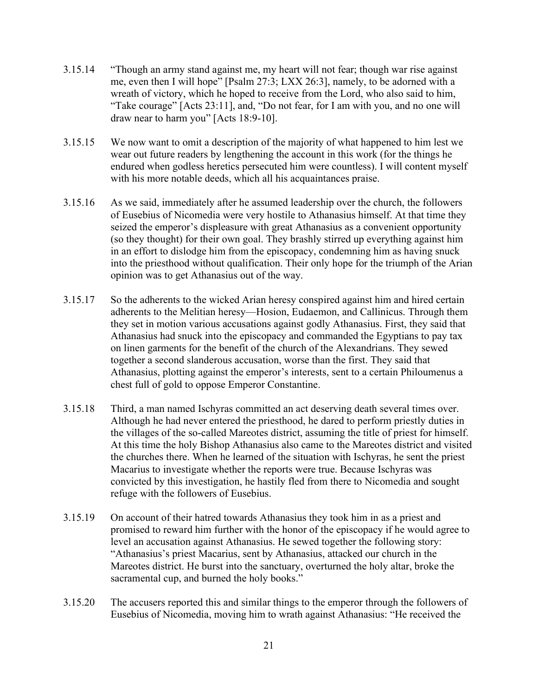- 3.15.14 "Though an army stand against me, my heart will not fear; though war rise against me, even then I will hope" [Psalm 27:3; LXX 26:3], namely, to be adorned with a wreath of victory, which he hoped to receive from the Lord, who also said to him, "Take courage" [Acts 23:11], and, "Do not fear, for I am with you, and no one will draw near to harm you" [Acts 18:9-10].
- 3.15.15 We now want to omit a description of the majority of what happened to him lest we wear out future readers by lengthening the account in this work (for the things he endured when godless heretics persecuted him were countless). I will content myself with his more notable deeds, which all his acquaintances praise.
- 3.15.16 As we said, immediately after he assumed leadership over the church, the followers of Eusebius of Nicomedia were very hostile to Athanasius himself. At that time they seized the emperor's displeasure with great Athanasius as a convenient opportunity (so they thought) for their own goal. They brashly stirred up everything against him in an effort to dislodge him from the episcopacy, condemning him as having snuck into the priesthood without qualification. Their only hope for the triumph of the Arian opinion was to get Athanasius out of the way.
- 3.15.17 So the adherents to the wicked Arian heresy conspired against him and hired certain adherents to the Melitian heresy—Hosion, Eudaemon, and Callinicus. Through them they set in motion various accusations against godly Athanasius. First, they said that Athanasius had snuck into the episcopacy and commanded the Egyptians to pay tax on linen garments for the benefit of the church of the Alexandrians. They sewed together a second slanderous accusation, worse than the first. They said that Athanasius, plotting against the emperor's interests, sent to a certain Philoumenus a chest full of gold to oppose Emperor Constantine.
- 3.15.18 Third, a man named Ischyras committed an act deserving death several times over. Although he had never entered the priesthood, he dared to perform priestly duties in the villages of the so-called Mareotes district, assuming the title of priest for himself. At this time the holy Bishop Athanasius also came to the Mareotes district and visited the churches there. When he learned of the situation with Ischyras, he sent the priest Macarius to investigate whether the reports were true. Because Ischyras was convicted by this investigation, he hastily fled from there to Nicomedia and sought refuge with the followers of Eusebius.
- 3.15.19 On account of their hatred towards Athanasius they took him in as a priest and promised to reward him further with the honor of the episcopacy if he would agree to level an accusation against Athanasius. He sewed together the following story: "Athanasius's priest Macarius, sent by Athanasius, attacked our church in the Mareotes district. He burst into the sanctuary, overturned the holy altar, broke the sacramental cup, and burned the holy books."
- 3.15.20 The accusers reported this and similar things to the emperor through the followers of Eusebius of Nicomedia, moving him to wrath against Athanasius: "He received the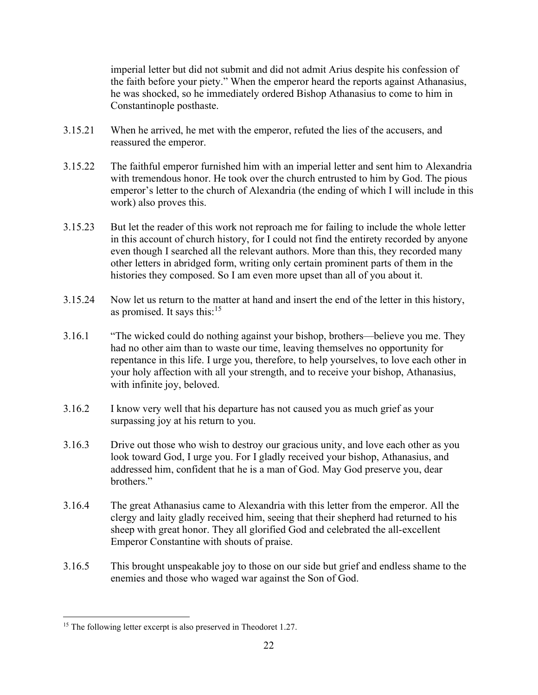imperial letter but did not submit and did not admit Arius despite his confession of the faith before your piety." When the emperor heard the reports against Athanasius, he was shocked, so he immediately ordered Bishop Athanasius to come to him in Constantinople posthaste.

- 3.15.21 When he arrived, he met with the emperor, refuted the lies of the accusers, and reassured the emperor.
- 3.15.22 The faithful emperor furnished him with an imperial letter and sent him to Alexandria with tremendous honor. He took over the church entrusted to him by God. The pious emperor's letter to the church of Alexandria (the ending of which I will include in this work) also proves this.
- 3.15.23 But let the reader of this work not reproach me for failing to include the whole letter in this account of church history, for I could not find the entirety recorded by anyone even though I searched all the relevant authors. More than this, they recorded many other letters in abridged form, writing only certain prominent parts of them in the histories they composed. So I am even more upset than all of you about it.
- 3.15.24 Now let us return to the matter at hand and insert the end of the letter in this history, as promised. It says this: $15$
- 3.16.1 "The wicked could do nothing against your bishop, brothers—believe you me. They had no other aim than to waste our time, leaving themselves no opportunity for repentance in this life. I urge you, therefore, to help yourselves, to love each other in your holy affection with all your strength, and to receive your bishop, Athanasius, with infinite joy, beloved.
- 3.16.2 I know very well that his departure has not caused you as much grief as your surpassing joy at his return to you.
- 3.16.3 Drive out those who wish to destroy our gracious unity, and love each other as you look toward God, I urge you. For I gladly received your bishop, Athanasius, and addressed him, confident that he is a man of God. May God preserve you, dear brothers."
- 3.16.4 The great Athanasius came to Alexandria with this letter from the emperor. All the clergy and laity gladly received him, seeing that their shepherd had returned to his sheep with great honor. They all glorified God and celebrated the all-excellent Emperor Constantine with shouts of praise.
- 3.16.5 This brought unspeakable joy to those on our side but grief and endless shame to the enemies and those who waged war against the Son of God.

<sup>&</sup>lt;sup>15</sup> The following letter excerpt is also preserved in Theodoret 1.27.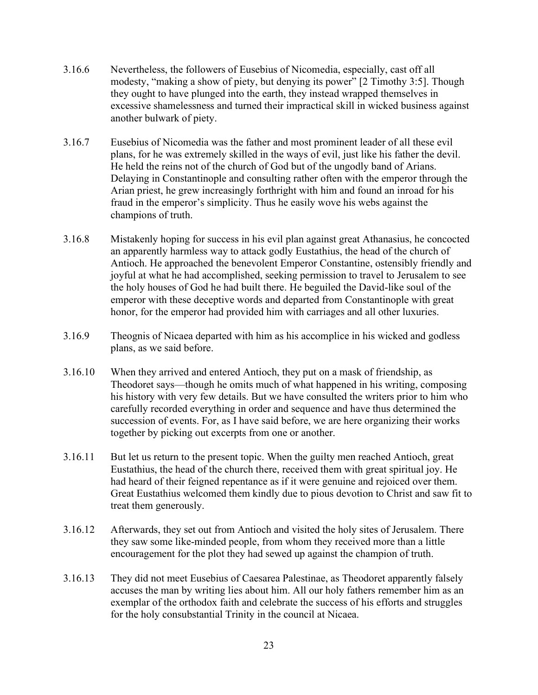- 3.16.6 Nevertheless, the followers of Eusebius of Nicomedia, especially, cast off all modesty, "making a show of piety, but denying its power" [2 Timothy 3:5]. Though they ought to have plunged into the earth, they instead wrapped themselves in excessive shamelessness and turned their impractical skill in wicked business against another bulwark of piety.
- 3.16.7 Eusebius of Nicomedia was the father and most prominent leader of all these evil plans, for he was extremely skilled in the ways of evil, just like his father the devil. He held the reins not of the church of God but of the ungodly band of Arians. Delaying in Constantinople and consulting rather often with the emperor through the Arian priest, he grew increasingly forthright with him and found an inroad for his fraud in the emperor's simplicity. Thus he easily wove his webs against the champions of truth.
- 3.16.8 Mistakenly hoping for success in his evil plan against great Athanasius, he concocted an apparently harmless way to attack godly Eustathius, the head of the church of Antioch. He approached the benevolent Emperor Constantine, ostensibly friendly and joyful at what he had accomplished, seeking permission to travel to Jerusalem to see the holy houses of God he had built there. He beguiled the David-like soul of the emperor with these deceptive words and departed from Constantinople with great honor, for the emperor had provided him with carriages and all other luxuries.
- 3.16.9 Theognis of Nicaea departed with him as his accomplice in his wicked and godless plans, as we said before.
- 3.16.10 When they arrived and entered Antioch, they put on a mask of friendship, as Theodoret says—though he omits much of what happened in his writing, composing his history with very few details. But we have consulted the writers prior to him who carefully recorded everything in order and sequence and have thus determined the succession of events. For, as I have said before, we are here organizing their works together by picking out excerpts from one or another.
- 3.16.11 But let us return to the present topic. When the guilty men reached Antioch, great Eustathius, the head of the church there, received them with great spiritual joy. He had heard of their feigned repentance as if it were genuine and rejoiced over them. Great Eustathius welcomed them kindly due to pious devotion to Christ and saw fit to treat them generously.
- 3.16.12 Afterwards, they set out from Antioch and visited the holy sites of Jerusalem. There they saw some like-minded people, from whom they received more than a little encouragement for the plot they had sewed up against the champion of truth.
- 3.16.13 They did not meet Eusebius of Caesarea Palestinae, as Theodoret apparently falsely accuses the man by writing lies about him. All our holy fathers remember him as an exemplar of the orthodox faith and celebrate the success of his efforts and struggles for the holy consubstantial Trinity in the council at Nicaea.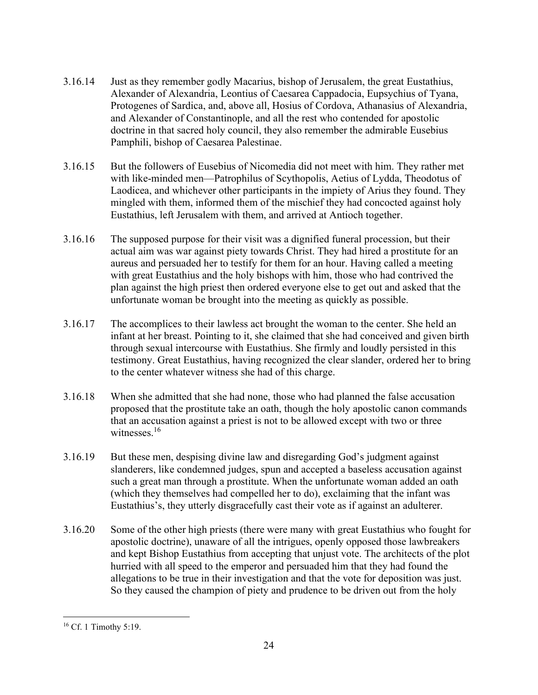- 3.16.14 Just as they remember godly Macarius, bishop of Jerusalem, the great Eustathius, Alexander of Alexandria, Leontius of Caesarea Cappadocia, Eupsychius of Tyana, Protogenes of Sardica, and, above all, Hosius of Cordova, Athanasius of Alexandria, and Alexander of Constantinople, and all the rest who contended for apostolic doctrine in that sacred holy council, they also remember the admirable Eusebius Pamphili, bishop of Caesarea Palestinae.
- 3.16.15 But the followers of Eusebius of Nicomedia did not meet with him. They rather met with like-minded men—Patrophilus of Scythopolis, Aetius of Lydda, Theodotus of Laodicea, and whichever other participants in the impiety of Arius they found. They mingled with them, informed them of the mischief they had concocted against holy Eustathius, left Jerusalem with them, and arrived at Antioch together.
- 3.16.16 The supposed purpose for their visit was a dignified funeral procession, but their actual aim was war against piety towards Christ. They had hired a prostitute for an aureus and persuaded her to testify for them for an hour. Having called a meeting with great Eustathius and the holy bishops with him, those who had contrived the plan against the high priest then ordered everyone else to get out and asked that the unfortunate woman be brought into the meeting as quickly as possible.
- 3.16.17 The accomplices to their lawless act brought the woman to the center. She held an infant at her breast. Pointing to it, she claimed that she had conceived and given birth through sexual intercourse with Eustathius. She firmly and loudly persisted in this testimony. Great Eustathius, having recognized the clear slander, ordered her to bring to the center whatever witness she had of this charge.
- 3.16.18 When she admitted that she had none, those who had planned the false accusation proposed that the prostitute take an oath, though the holy apostolic canon commands that an accusation against a priest is not to be allowed except with two or three witnesses.<sup>16</sup>
- 3.16.19 But these men, despising divine law and disregarding God's judgment against slanderers, like condemned judges, spun and accepted a baseless accusation against such a great man through a prostitute. When the unfortunate woman added an oath (which they themselves had compelled her to do), exclaiming that the infant was Eustathius's, they utterly disgracefully cast their vote as if against an adulterer.
- 3.16.20 Some of the other high priests (there were many with great Eustathius who fought for apostolic doctrine), unaware of all the intrigues, openly opposed those lawbreakers and kept Bishop Eustathius from accepting that unjust vote. The architects of the plot hurried with all speed to the emperor and persuaded him that they had found the allegations to be true in their investigation and that the vote for deposition was just. So they caused the champion of piety and prudence to be driven out from the holy

<sup>16</sup> Cf. 1 Timothy 5:19.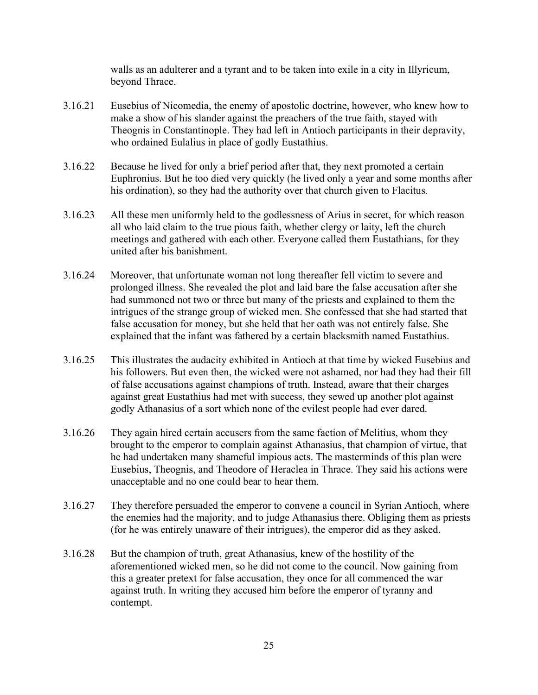walls as an adulterer and a tyrant and to be taken into exile in a city in Illyricum, beyond Thrace.

- 3.16.21 Eusebius of Nicomedia, the enemy of apostolic doctrine, however, who knew how to make a show of his slander against the preachers of the true faith, stayed with Theognis in Constantinople. They had left in Antioch participants in their depravity, who ordained Eulalius in place of godly Eustathius.
- 3.16.22 Because he lived for only a brief period after that, they next promoted a certain Euphronius. But he too died very quickly (he lived only a year and some months after his ordination), so they had the authority over that church given to Flacitus.
- 3.16.23 All these men uniformly held to the godlessness of Arius in secret, for which reason all who laid claim to the true pious faith, whether clergy or laity, left the church meetings and gathered with each other. Everyone called them Eustathians, for they united after his banishment.
- 3.16.24 Moreover, that unfortunate woman not long thereafter fell victim to severe and prolonged illness. She revealed the plot and laid bare the false accusation after she had summoned not two or three but many of the priests and explained to them the intrigues of the strange group of wicked men. She confessed that she had started that false accusation for money, but she held that her oath was not entirely false. She explained that the infant was fathered by a certain blacksmith named Eustathius.
- 3.16.25 This illustrates the audacity exhibited in Antioch at that time by wicked Eusebius and his followers. But even then, the wicked were not ashamed, nor had they had their fill of false accusations against champions of truth. Instead, aware that their charges against great Eustathius had met with success, they sewed up another plot against godly Athanasius of a sort which none of the evilest people had ever dared.
- 3.16.26 They again hired certain accusers from the same faction of Melitius, whom they brought to the emperor to complain against Athanasius, that champion of virtue, that he had undertaken many shameful impious acts. The masterminds of this plan were Eusebius, Theognis, and Theodore of Heraclea in Thrace. They said his actions were unacceptable and no one could bear to hear them.
- 3.16.27 They therefore persuaded the emperor to convene a council in Syrian Antioch, where the enemies had the majority, and to judge Athanasius there. Obliging them as priests (for he was entirely unaware of their intrigues), the emperor did as they asked.
- 3.16.28 But the champion of truth, great Athanasius, knew of the hostility of the aforementioned wicked men, so he did not come to the council. Now gaining from this a greater pretext for false accusation, they once for all commenced the war against truth. In writing they accused him before the emperor of tyranny and contempt.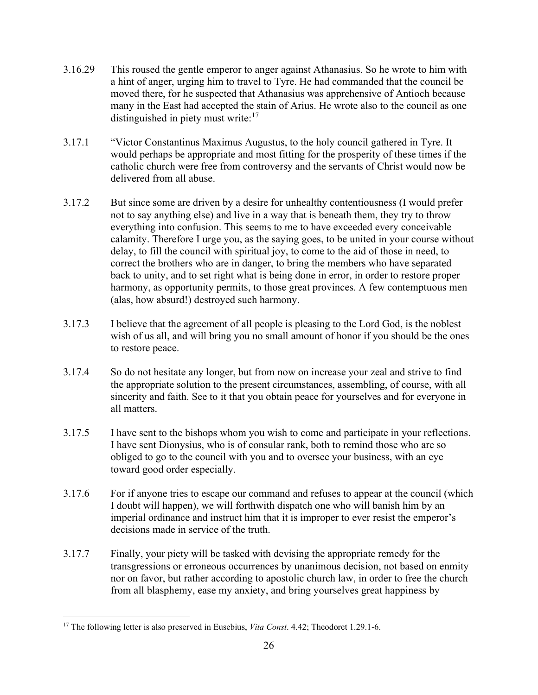- 3.16.29 This roused the gentle emperor to anger against Athanasius. So he wrote to him with a hint of anger, urging him to travel to Tyre. He had commanded that the council be moved there, for he suspected that Athanasius was apprehensive of Antioch because many in the East had accepted the stain of Arius. He wrote also to the council as one distinguished in piety must write: $17$
- 3.17.1 "Victor Constantinus Maximus Augustus, to the holy council gathered in Tyre. It would perhaps be appropriate and most fitting for the prosperity of these times if the catholic church were free from controversy and the servants of Christ would now be delivered from all abuse.
- 3.17.2 But since some are driven by a desire for unhealthy contentiousness (I would prefer not to say anything else) and live in a way that is beneath them, they try to throw everything into confusion. This seems to me to have exceeded every conceivable calamity. Therefore I urge you, as the saying goes, to be united in your course without delay, to fill the council with spiritual joy, to come to the aid of those in need, to correct the brothers who are in danger, to bring the members who have separated back to unity, and to set right what is being done in error, in order to restore proper harmony, as opportunity permits, to those great provinces. A few contemptuous men (alas, how absurd!) destroyed such harmony.
- 3.17.3 I believe that the agreement of all people is pleasing to the Lord God, is the noblest wish of us all, and will bring you no small amount of honor if you should be the ones to restore peace.
- 3.17.4 So do not hesitate any longer, but from now on increase your zeal and strive to find the appropriate solution to the present circumstances, assembling, of course, with all sincerity and faith. See to it that you obtain peace for yourselves and for everyone in all matters.
- 3.17.5 I have sent to the bishops whom you wish to come and participate in your reflections. I have sent Dionysius, who is of consular rank, both to remind those who are so obliged to go to the council with you and to oversee your business, with an eye toward good order especially.
- 3.17.6 For if anyone tries to escape our command and refuses to appear at the council (which I doubt will happen), we will forthwith dispatch one who will banish him by an imperial ordinance and instruct him that it is improper to ever resist the emperor's decisions made in service of the truth.
- 3.17.7 Finally, your piety will be tasked with devising the appropriate remedy for the transgressions or erroneous occurrences by unanimous decision, not based on enmity nor on favor, but rather according to apostolic church law, in order to free the church from all blasphemy, ease my anxiety, and bring yourselves great happiness by

<sup>&</sup>lt;sup>17</sup> The following letter is also preserved in Eusebius, *Vita Const.*  $4.42$ ; Theodoret 1.29.1-6.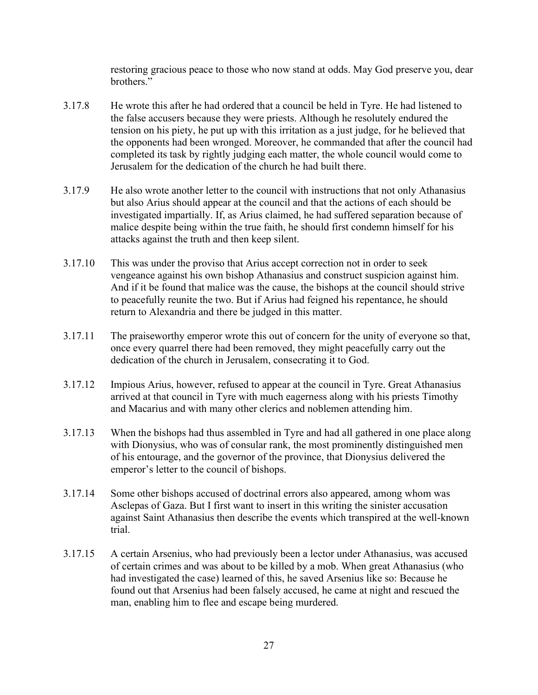restoring gracious peace to those who now stand at odds. May God preserve you, dear brothers."

- 3.17.8 He wrote this after he had ordered that a council be held in Tyre. He had listened to the false accusers because they were priests. Although he resolutely endured the tension on his piety, he put up with this irritation as a just judge, for he believed that the opponents had been wronged. Moreover, he commanded that after the council had completed its task by rightly judging each matter, the whole council would come to Jerusalem for the dedication of the church he had built there.
- 3.17.9 He also wrote another letter to the council with instructions that not only Athanasius but also Arius should appear at the council and that the actions of each should be investigated impartially. If, as Arius claimed, he had suffered separation because of malice despite being within the true faith, he should first condemn himself for his attacks against the truth and then keep silent.
- 3.17.10 This was under the proviso that Arius accept correction not in order to seek vengeance against his own bishop Athanasius and construct suspicion against him. And if it be found that malice was the cause, the bishops at the council should strive to peacefully reunite the two. But if Arius had feigned his repentance, he should return to Alexandria and there be judged in this matter.
- 3.17.11 The praiseworthy emperor wrote this out of concern for the unity of everyone so that, once every quarrel there had been removed, they might peacefully carry out the dedication of the church in Jerusalem, consecrating it to God.
- 3.17.12 Impious Arius, however, refused to appear at the council in Tyre. Great Athanasius arrived at that council in Tyre with much eagerness along with his priests Timothy and Macarius and with many other clerics and noblemen attending him.
- 3.17.13 When the bishops had thus assembled in Tyre and had all gathered in one place along with Dionysius, who was of consular rank, the most prominently distinguished men of his entourage, and the governor of the province, that Dionysius delivered the emperor's letter to the council of bishops.
- 3.17.14 Some other bishops accused of doctrinal errors also appeared, among whom was Asclepas of Gaza. But I first want to insert in this writing the sinister accusation against Saint Athanasius then describe the events which transpired at the well-known trial.
- 3.17.15 A certain Arsenius, who had previously been a lector under Athanasius, was accused of certain crimes and was about to be killed by a mob. When great Athanasius (who had investigated the case) learned of this, he saved Arsenius like so: Because he found out that Arsenius had been falsely accused, he came at night and rescued the man, enabling him to flee and escape being murdered.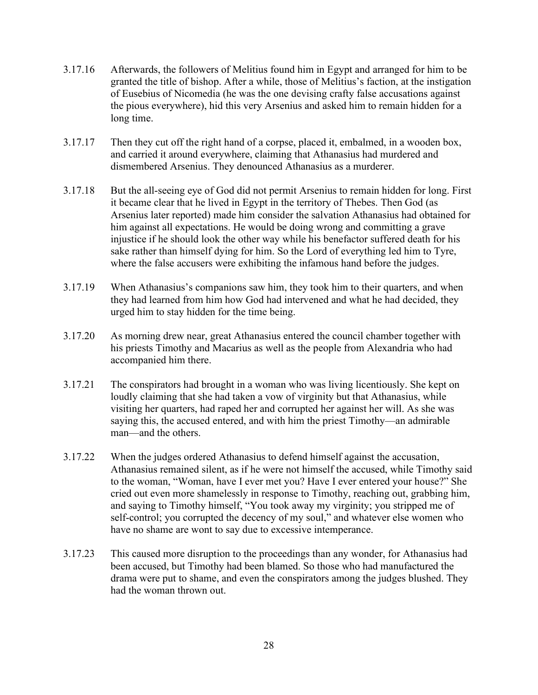- 3.17.16 Afterwards, the followers of Melitius found him in Egypt and arranged for him to be granted the title of bishop. After a while, those of Melitius's faction, at the instigation of Eusebius of Nicomedia (he was the one devising crafty false accusations against the pious everywhere), hid this very Arsenius and asked him to remain hidden for a long time.
- 3.17.17 Then they cut off the right hand of a corpse, placed it, embalmed, in a wooden box, and carried it around everywhere, claiming that Athanasius had murdered and dismembered Arsenius. They denounced Athanasius as a murderer.
- 3.17.18 But the all-seeing eye of God did not permit Arsenius to remain hidden for long. First it became clear that he lived in Egypt in the territory of Thebes. Then God (as Arsenius later reported) made him consider the salvation Athanasius had obtained for him against all expectations. He would be doing wrong and committing a grave injustice if he should look the other way while his benefactor suffered death for his sake rather than himself dying for him. So the Lord of everything led him to Tyre, where the false accusers were exhibiting the infamous hand before the judges.
- 3.17.19 When Athanasius's companions saw him, they took him to their quarters, and when they had learned from him how God had intervened and what he had decided, they urged him to stay hidden for the time being.
- 3.17.20 As morning drew near, great Athanasius entered the council chamber together with his priests Timothy and Macarius as well as the people from Alexandria who had accompanied him there.
- 3.17.21 The conspirators had brought in a woman who was living licentiously. She kept on loudly claiming that she had taken a vow of virginity but that Athanasius, while visiting her quarters, had raped her and corrupted her against her will. As she was saying this, the accused entered, and with him the priest Timothy—an admirable man—and the others.
- 3.17.22 When the judges ordered Athanasius to defend himself against the accusation, Athanasius remained silent, as if he were not himself the accused, while Timothy said to the woman, "Woman, have I ever met you? Have I ever entered your house?" She cried out even more shamelessly in response to Timothy, reaching out, grabbing him, and saying to Timothy himself, "You took away my virginity; you stripped me of self-control; you corrupted the decency of my soul," and whatever else women who have no shame are wont to say due to excessive intemperance.
- 3.17.23 This caused more disruption to the proceedings than any wonder, for Athanasius had been accused, but Timothy had been blamed. So those who had manufactured the drama were put to shame, and even the conspirators among the judges blushed. They had the woman thrown out.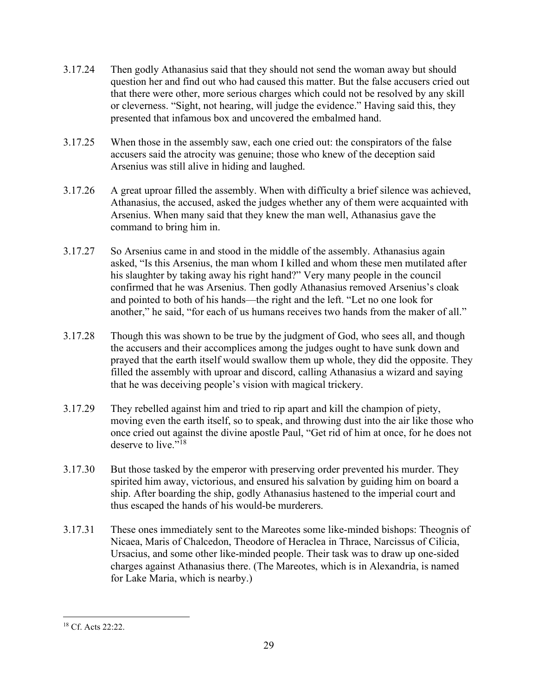- 3.17.24 Then godly Athanasius said that they should not send the woman away but should question her and find out who had caused this matter. But the false accusers cried out that there were other, more serious charges which could not be resolved by any skill or cleverness. "Sight, not hearing, will judge the evidence." Having said this, they presented that infamous box and uncovered the embalmed hand.
- 3.17.25 When those in the assembly saw, each one cried out: the conspirators of the false accusers said the atrocity was genuine; those who knew of the deception said Arsenius was still alive in hiding and laughed.
- 3.17.26 A great uproar filled the assembly. When with difficulty a brief silence was achieved, Athanasius, the accused, asked the judges whether any of them were acquainted with Arsenius. When many said that they knew the man well, Athanasius gave the command to bring him in.
- 3.17.27 So Arsenius came in and stood in the middle of the assembly. Athanasius again asked, "Is this Arsenius, the man whom I killed and whom these men mutilated after his slaughter by taking away his right hand?" Very many people in the council confirmed that he was Arsenius. Then godly Athanasius removed Arsenius's cloak and pointed to both of his hands—the right and the left. "Let no one look for another," he said, "for each of us humans receives two hands from the maker of all."
- 3.17.28 Though this was shown to be true by the judgment of God, who sees all, and though the accusers and their accomplices among the judges ought to have sunk down and prayed that the earth itself would swallow them up whole, they did the opposite. They filled the assembly with uproar and discord, calling Athanasius a wizard and saying that he was deceiving people's vision with magical trickery.
- 3.17.29 They rebelled against him and tried to rip apart and kill the champion of piety, moving even the earth itself, so to speak, and throwing dust into the air like those who once cried out against the divine apostle Paul, "Get rid of him at once, for he does not deserve to live."<sup>18</sup>
- 3.17.30 But those tasked by the emperor with preserving order prevented his murder. They spirited him away, victorious, and ensured his salvation by guiding him on board a ship. After boarding the ship, godly Athanasius hastened to the imperial court and thus escaped the hands of his would-be murderers.
- 3.17.31 These ones immediately sent to the Mareotes some like-minded bishops: Theognis of Nicaea, Maris of Chalcedon, Theodore of Heraclea in Thrace, Narcissus of Cilicia, Ursacius, and some other like-minded people. Their task was to draw up one-sided charges against Athanasius there. (The Mareotes, which is in Alexandria, is named for Lake Maria, which is nearby.)

<sup>18</sup> Cf. Acts 22:22.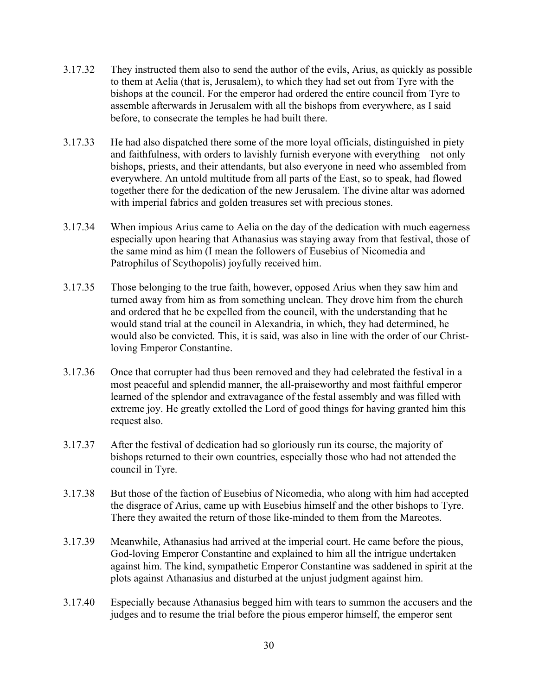- 3.17.32 They instructed them also to send the author of the evils, Arius, as quickly as possible to them at Aelia (that is, Jerusalem), to which they had set out from Tyre with the bishops at the council. For the emperor had ordered the entire council from Tyre to assemble afterwards in Jerusalem with all the bishops from everywhere, as I said before, to consecrate the temples he had built there.
- 3.17.33 He had also dispatched there some of the more loyal officials, distinguished in piety and faithfulness, with orders to lavishly furnish everyone with everything—not only bishops, priests, and their attendants, but also everyone in need who assembled from everywhere. An untold multitude from all parts of the East, so to speak, had flowed together there for the dedication of the new Jerusalem. The divine altar was adorned with imperial fabrics and golden treasures set with precious stones.
- 3.17.34 When impious Arius came to Aelia on the day of the dedication with much eagerness especially upon hearing that Athanasius was staying away from that festival, those of the same mind as him (I mean the followers of Eusebius of Nicomedia and Patrophilus of Scythopolis) joyfully received him.
- 3.17.35 Those belonging to the true faith, however, opposed Arius when they saw him and turned away from him as from something unclean. They drove him from the church and ordered that he be expelled from the council, with the understanding that he would stand trial at the council in Alexandria, in which, they had determined, he would also be convicted. This, it is said, was also in line with the order of our Christloving Emperor Constantine.
- 3.17.36 Once that corrupter had thus been removed and they had celebrated the festival in a most peaceful and splendid manner, the all-praiseworthy and most faithful emperor learned of the splendor and extravagance of the festal assembly and was filled with extreme joy. He greatly extolled the Lord of good things for having granted him this request also.
- 3.17.37 After the festival of dedication had so gloriously run its course, the majority of bishops returned to their own countries, especially those who had not attended the council in Tyre.
- 3.17.38 But those of the faction of Eusebius of Nicomedia, who along with him had accepted the disgrace of Arius, came up with Eusebius himself and the other bishops to Tyre. There they awaited the return of those like-minded to them from the Mareotes.
- 3.17.39 Meanwhile, Athanasius had arrived at the imperial court. He came before the pious, God-loving Emperor Constantine and explained to him all the intrigue undertaken against him. The kind, sympathetic Emperor Constantine was saddened in spirit at the plots against Athanasius and disturbed at the unjust judgment against him.
- 3.17.40 Especially because Athanasius begged him with tears to summon the accusers and the judges and to resume the trial before the pious emperor himself, the emperor sent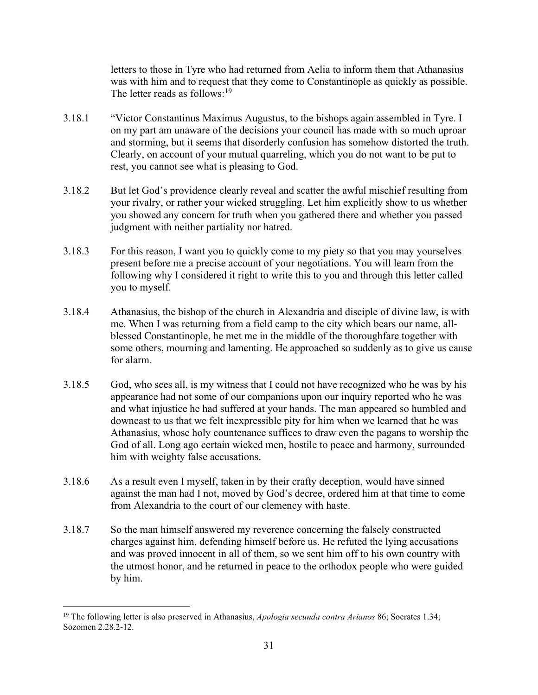letters to those in Tyre who had returned from Aelia to inform them that Athanasius was with him and to request that they come to Constantinople as quickly as possible. The letter reads as follows:<sup>19</sup>

- 3.18.1 "Victor Constantinus Maximus Augustus, to the bishops again assembled in Tyre. I on my part am unaware of the decisions your council has made with so much uproar and storming, but it seems that disorderly confusion has somehow distorted the truth. Clearly, on account of your mutual quarreling, which you do not want to be put to rest, you cannot see what is pleasing to God.
- 3.18.2 But let God's providence clearly reveal and scatter the awful mischief resulting from your rivalry, or rather your wicked struggling. Let him explicitly show to us whether you showed any concern for truth when you gathered there and whether you passed judgment with neither partiality nor hatred.
- 3.18.3 For this reason, I want you to quickly come to my piety so that you may yourselves present before me a precise account of your negotiations. You will learn from the following why I considered it right to write this to you and through this letter called you to myself.
- 3.18.4 Athanasius, the bishop of the church in Alexandria and disciple of divine law, is with me. When I was returning from a field camp to the city which bears our name, allblessed Constantinople, he met me in the middle of the thoroughfare together with some others, mourning and lamenting. He approached so suddenly as to give us cause for alarm.
- 3.18.5 God, who sees all, is my witness that I could not have recognized who he was by his appearance had not some of our companions upon our inquiry reported who he was and what injustice he had suffered at your hands. The man appeared so humbled and downcast to us that we felt inexpressible pity for him when we learned that he was Athanasius, whose holy countenance suffices to draw even the pagans to worship the God of all. Long ago certain wicked men, hostile to peace and harmony, surrounded him with weighty false accusations.
- 3.18.6 As a result even I myself, taken in by their crafty deception, would have sinned against the man had I not, moved by God's decree, ordered him at that time to come from Alexandria to the court of our clemency with haste.
- 3.18.7 So the man himself answered my reverence concerning the falsely constructed charges against him, defending himself before us. He refuted the lying accusations and was proved innocent in all of them, so we sent him off to his own country with the utmost honor, and he returned in peace to the orthodox people who were guided by him.

<sup>&</sup>lt;sup>19</sup> The following letter is also preserved in Athanasius, Apologia secunda contra Arianos 86; Socrates 1.34; Sozomen 2.28.2-12.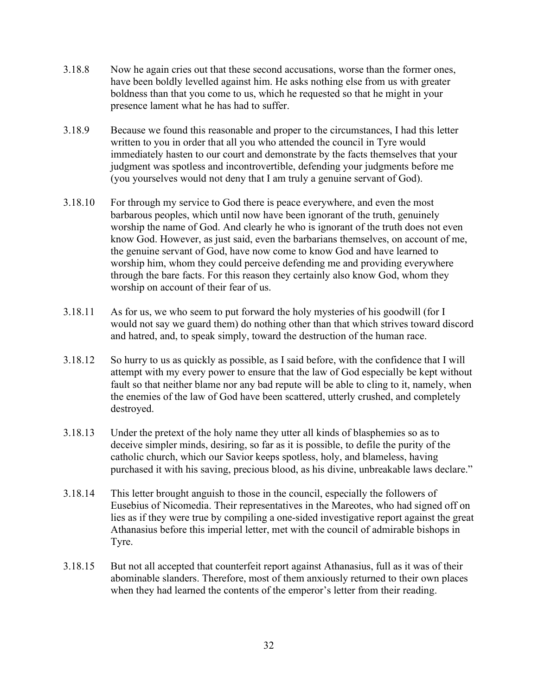- 3.18.8 Now he again cries out that these second accusations, worse than the former ones, have been boldly levelled against him. He asks nothing else from us with greater boldness than that you come to us, which he requested so that he might in your presence lament what he has had to suffer.
- 3.18.9 Because we found this reasonable and proper to the circumstances, I had this letter written to you in order that all you who attended the council in Tyre would immediately hasten to our court and demonstrate by the facts themselves that your judgment was spotless and incontrovertible, defending your judgments before me (you yourselves would not deny that I am truly a genuine servant of God).
- 3.18.10 For through my service to God there is peace everywhere, and even the most barbarous peoples, which until now have been ignorant of the truth, genuinely worship the name of God. And clearly he who is ignorant of the truth does not even know God. However, as just said, even the barbarians themselves, on account of me, the genuine servant of God, have now come to know God and have learned to worship him, whom they could perceive defending me and providing everywhere through the bare facts. For this reason they certainly also know God, whom they worship on account of their fear of us.
- 3.18.11 As for us, we who seem to put forward the holy mysteries of his goodwill (for I would not say we guard them) do nothing other than that which strives toward discord and hatred, and, to speak simply, toward the destruction of the human race.
- 3.18.12 So hurry to us as quickly as possible, as I said before, with the confidence that I will attempt with my every power to ensure that the law of God especially be kept without fault so that neither blame nor any bad repute will be able to cling to it, namely, when the enemies of the law of God have been scattered, utterly crushed, and completely destroyed.
- 3.18.13 Under the pretext of the holy name they utter all kinds of blasphemies so as to deceive simpler minds, desiring, so far as it is possible, to defile the purity of the catholic church, which our Savior keeps spotless, holy, and blameless, having purchased it with his saving, precious blood, as his divine, unbreakable laws declare."
- 3.18.14 This letter brought anguish to those in the council, especially the followers of Eusebius of Nicomedia. Their representatives in the Mareotes, who had signed off on lies as if they were true by compiling a one-sided investigative report against the great Athanasius before this imperial letter, met with the council of admirable bishops in Tyre.
- 3.18.15 But not all accepted that counterfeit report against Athanasius, full as it was of their abominable slanders. Therefore, most of them anxiously returned to their own places when they had learned the contents of the emperor's letter from their reading.